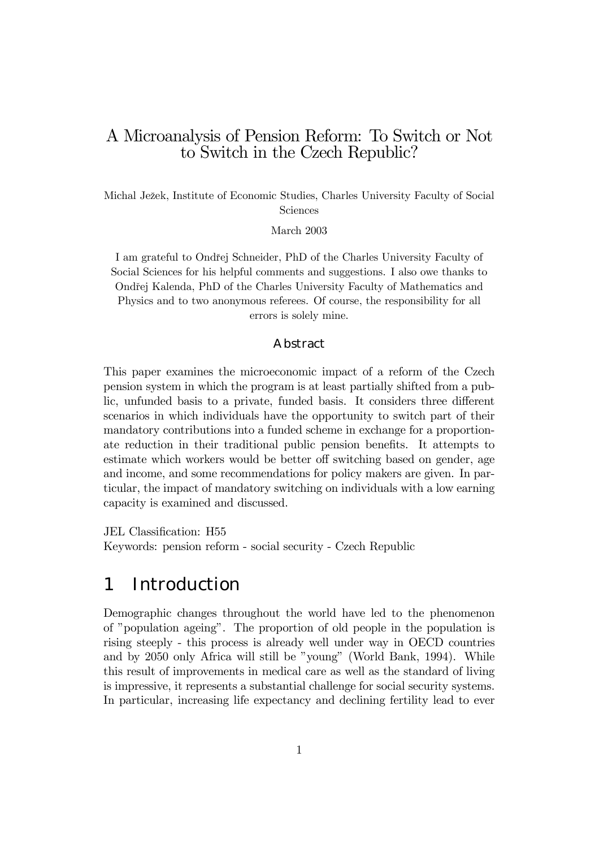### A Microanalysis of Pension Reform: To Switch or Not to Switch in the Czech Republic?

Michal Ježek, Institute of Economic Studies, Charles University Faculty of Social Sciences

March 2003

I am grateful to Ondřej Schneider, PhD of the Charles University Faculty of Social Sciences for his helpful comments and suggestions. I also owe thanks to Ondřej Kalenda, PhD of the Charles University Faculty of Mathematics and Physics and to two anonymous referees. Of course, the responsibility for all errors is solely mine.

#### Abstract

This paper examines the microeconomic impact of a reform of the Czech pension system in which the program is at least partially shifted from a public, unfunded basis to a private, funded basis. It considers three different scenarios in which individuals have the opportunity to switch part of their mandatory contributions into a funded scheme in exchange for a proportionate reduction in their traditional public pension benefits. It attempts to estimate which workers would be better off switching based on gender, age and income, and some recommendations for policy makers are given. In particular, the impact of mandatory switching on individuals with a low earning capacity is examined and discussed.

JEL Classification: H55

Keywords: pension reform - social security - Czech Republic

## 1 Introduction

Demographic changes throughout the world have led to the phenomenon of "population ageing". The proportion of old people in the population is rising steeply - this process is already well under way in OECD countries and by 2050 only Africa will still be "young" (World Bank, 1994). While this result of improvements in medical care as well as the standard of living is impressive, it represents a substantial challenge for social security systems. In particular, increasing life expectancy and declining fertility lead to ever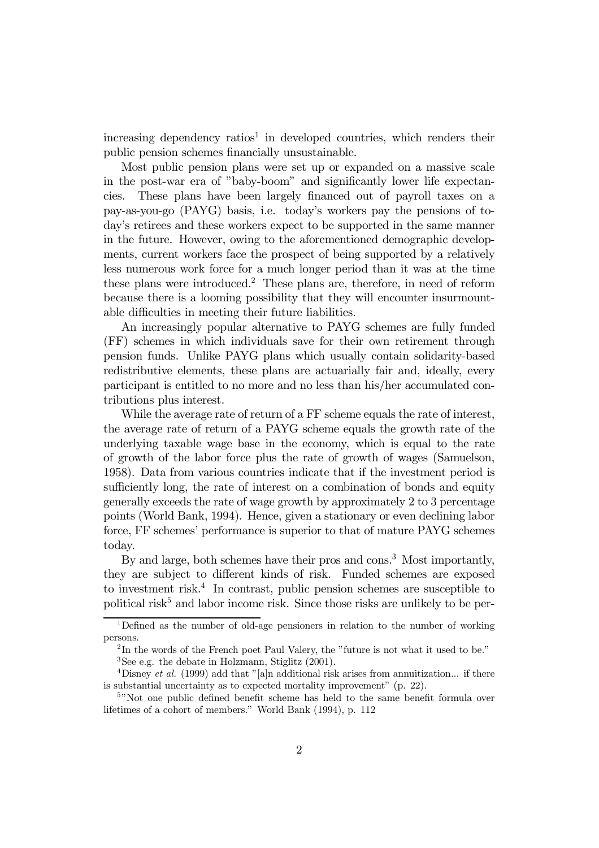$increasing$  dependency ratios<sup>1</sup> in developed countries, which renders their public pension schemes financially unsustainable.

Most public pension plans were set up or expanded on a massive scale in the post-war era of "baby-boom" and significantly lower life expectancies. These plans have been largely financed out of payroll taxes on a pay-as-you-go (PAYG) basis, i.e. todayís workers pay the pensions of todayís retirees and these workers expect to be supported in the same manner in the future. However, owing to the aforementioned demographic developments, current workers face the prospect of being supported by a relatively less numerous work force for a much longer period than it was at the time these plans were introduced.2 These plans are, therefore, in need of reform because there is a looming possibility that they will encounter insurmountable difficulties in meeting their future liabilities.

An increasingly popular alternative to PAYG schemes are fully funded (FF) schemes in which individuals save for their own retirement through pension funds. Unlike PAYG plans which usually contain solidarity-based redistributive elements, these plans are actuarially fair and, ideally, every participant is entitled to no more and no less than his/her accumulated contributions plus interest.

While the average rate of return of a FF scheme equals the rate of interest, the average rate of return of a PAYG scheme equals the growth rate of the underlying taxable wage base in the economy, which is equal to the rate of growth of the labor force plus the rate of growth of wages (Samuelson, 1958). Data from various countries indicate that if the investment period is sufficiently long, the rate of interest on a combination of bonds and equity generally exceeds the rate of wage growth by approximately 2 to 3 percentage points (World Bank, 1994). Hence, given a stationary or even declining labor force, FF schemes' performance is superior to that of mature PAYG schemes today.

By and large, both schemes have their pros and cons.<sup>3</sup> Most importantly, they are subject to different kinds of risk. Funded schemes are exposed to investment risk.<sup>4</sup> In contrast, public pension schemes are susceptible to political risk $5$  and labor income risk. Since those risks are unlikely to be per-

<sup>1</sup>Defined as the number of old-age pensioners in relation to the number of working persons.

 $2 \text{In the words of the French poet Paul Valery, the "future is not what it used to be."}$ 

 ${}^{3}$ See e.g. the debate in Holzmann, Stiglitz (2001).

<sup>&</sup>lt;sup>4</sup>Disney *et al.* (1999) add that "[a]n additional risk arises from annuitization... if there is substantial uncertainty as to expected mortality improvement"  $(p. 22)$ .

<sup>&</sup>lt;sup>5</sup>"Not one public defined benefit scheme has held to the same benefit formula over lifetimes of a cohort of members." World Bank (1994), p. 112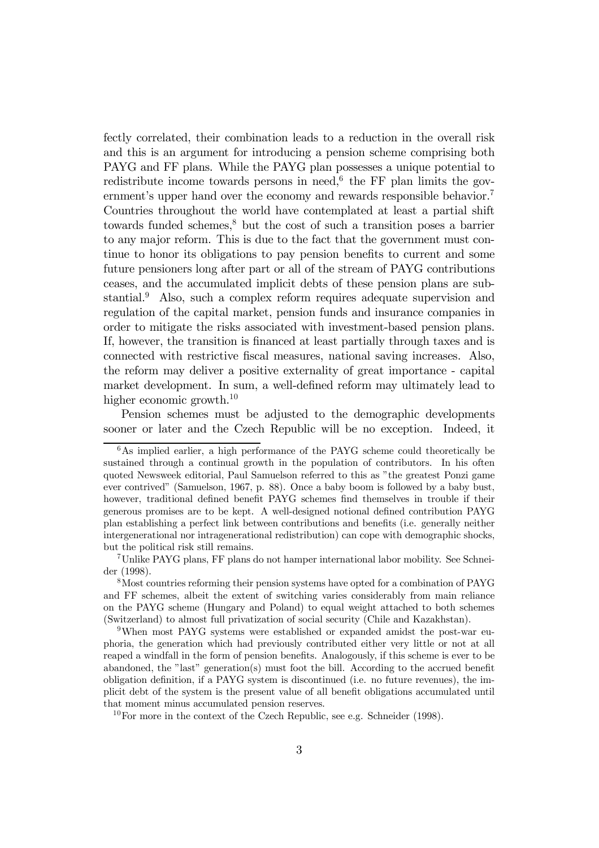fectly correlated, their combination leads to a reduction in the overall risk and this is an argument for introducing a pension scheme comprising both PAYG and FF plans. While the PAYG plan possesses a unique potential to redistribute income towards persons in need,<sup> $6$ </sup> the FF plan limits the government's upper hand over the economy and rewards responsible behavior.<sup>7</sup> Countries throughout the world have contemplated at least a partial shift towards funded schemes, $\delta$  but the cost of such a transition poses a barrier to any major reform. This is due to the fact that the government must continue to honor its obligations to pay pension benefits to current and some future pensioners long after part or all of the stream of PAYG contributions ceases, and the accumulated implicit debts of these pension plans are substantial.9 Also, such a complex reform requires adequate supervision and regulation of the capital market, pension funds and insurance companies in order to mitigate the risks associated with investment-based pension plans. If, however, the transition is financed at least partially through taxes and is connected with restrictive fiscal measures, national saving increases. Also, the reform may deliver a positive externality of great importance - capital market development. In sum, a well-defined reform may ultimately lead to higher economic growth.<sup>10</sup>

Pension schemes must be adjusted to the demographic developments sooner or later and the Czech Republic will be no exception. Indeed, it

<sup>6</sup>As implied earlier, a high performance of the PAYG scheme could theoretically be sustained through a continual growth in the population of contributors. In his often quoted Newsweek editorial, Paul Samuelson referred to this as îthe greatest Ponzi game ever contrivedî (Samuelson, 1967, p. 88). Once a baby boom is followed by a baby bust, however, traditional defined benefit PAYG schemes find themselves in trouble if their generous promises are to be kept. A well-designed notional defined contribution PAYG plan establishing a perfect link between contributions and benefits (i.e. generally neither intergenerational nor intragenerational redistribution) can cope with demographic shocks, but the political risk still remains.

<sup>7</sup>Unlike PAYG plans, FF plans do not hamper international labor mobility. See Schneider (1998).

<sup>8</sup>Most countries reforming their pension systems have opted for a combination of PAYG and FF schemes, albeit the extent of switching varies considerably from main reliance on the PAYG scheme (Hungary and Poland) to equal weight attached to both schemes (Switzerland) to almost full privatization of social security (Chile and Kazakhstan).

<sup>&</sup>lt;sup>9</sup>When most PAYG systems were established or expanded amidst the post-war euphoria, the generation which had previously contributed either very little or not at all reaped a windfall in the form of pension benefits. Analogously, if this scheme is ever to be abandoned, the "last" generation(s) must foot the bill. According to the accrued benefit obligation definition, if a PAYG system is discontinued (i.e. no future revenues), the implicit debt of the system is the present value of all benefit obligations accumulated until that moment minus accumulated pension reserves.

 $10$ For more in the context of the Czech Republic, see e.g. Schneider (1998).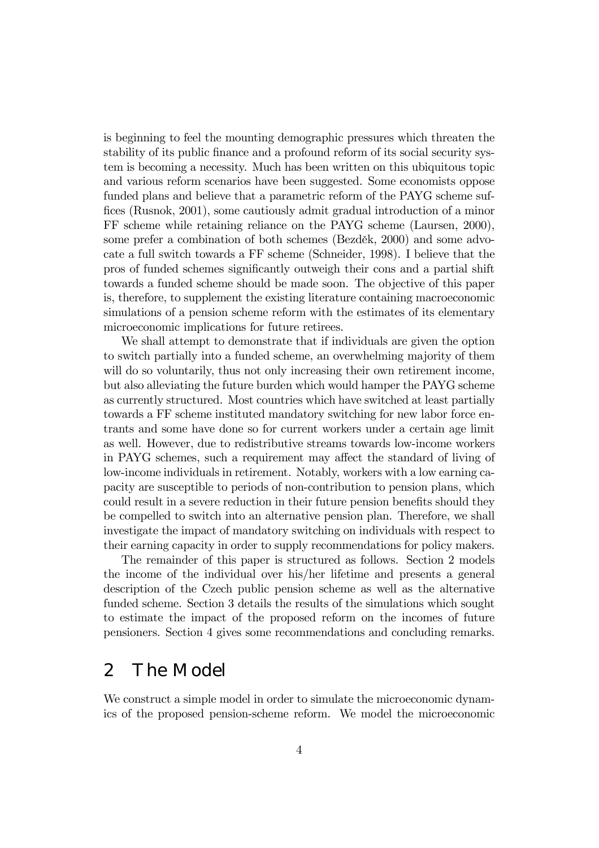is beginning to feel the mounting demographic pressures which threaten the stability of its public finance and a profound reform of its social security system is becoming a necessity. Much has been written on this ubiquitous topic and various reform scenarios have been suggested. Some economists oppose funded plans and believe that a parametric reform of the PAYG scheme suffices (Rusnok, 2001), some cautiously admit gradual introduction of a minor FF scheme while retaining reliance on the PAYG scheme (Laursen, 2000), some prefer a combination of both schemes (Bezděk,  $2000$ ) and some advocate a full switch towards a FF scheme (Schneider, 1998). I believe that the pros of funded schemes significantly outweigh their cons and a partial shift towards a funded scheme should be made soon. The objective of this paper is, therefore, to supplement the existing literature containing macroeconomic simulations of a pension scheme reform with the estimates of its elementary microeconomic implications for future retirees.

We shall attempt to demonstrate that if individuals are given the option to switch partially into a funded scheme, an overwhelming majority of them will do so voluntarily, thus not only increasing their own retirement income, but also alleviating the future burden which would hamper the PAYG scheme as currently structured. Most countries which have switched at least partially towards a FF scheme instituted mandatory switching for new labor force entrants and some have done so for current workers under a certain age limit as well. However, due to redistributive streams towards low-income workers in PAYG schemes, such a requirement may affect the standard of living of low-income individuals in retirement. Notably, workers with a low earning capacity are susceptible to periods of non-contribution to pension plans, which could result in a severe reduction in their future pension benefits should they be compelled to switch into an alternative pension plan. Therefore, we shall investigate the impact of mandatory switching on individuals with respect to their earning capacity in order to supply recommendations for policy makers.

The remainder of this paper is structured as follows. Section 2 models the income of the individual over his/her lifetime and presents a general description of the Czech public pension scheme as well as the alternative funded scheme. Section 3 details the results of the simulations which sought to estimate the impact of the proposed reform on the incomes of future pensioners. Section 4 gives some recommendations and concluding remarks.

## 2 The Model

We construct a simple model in order to simulate the microeconomic dynamics of the proposed pension-scheme reform. We model the microeconomic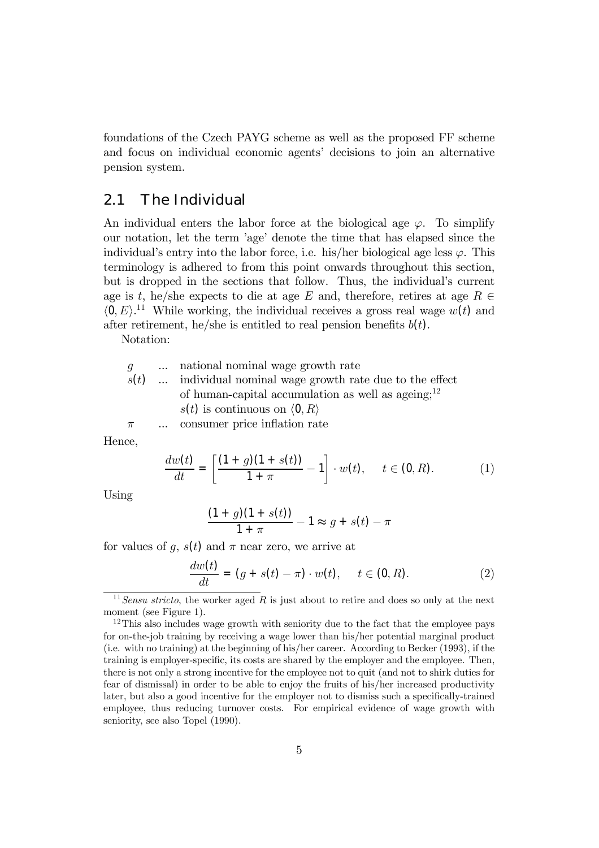foundations of the Czech PAYG scheme as well as the proposed FF scheme and focus on individual economic agents' decisions to join an alternative pension system.

#### 2.1 The Individual

An individual enters the labor force at the biological age  $\varphi$ . To simplify our notation, let the term íageí denote the time that has elapsed since the individual's entry into the labor force, i.e. his/her biological age less  $\varphi$ . This terminology is adhered to from this point onwards throughout this section, but is dropped in the sections that follow. Thus, the individual's current age is t, he/she expects to die at age E and, therefore, retires at age  $R \in$  $\langle 0, E \rangle$ .<sup>11</sup> While working, the individual receives a gross real wage  $w(t)$  and after retirement, he/she is entitled to real pension benefits  $b(t)$ .

Notation:

|       | $q \quad \dots$ national nominal wage growth rate            |
|-------|--------------------------------------------------------------|
|       | $s(t)$ individual nominal wage growth rate due to the effect |
|       | of human-capital accumulation as well as ageing; $12$        |
|       | $s(t)$ is continuous on $\langle 0, R \rangle$               |
| $\pi$ | consumer price inflation rate                                |

Hence,

$$
\frac{dw(t)}{dt} = \left[\frac{(1+g)(1+s(t))}{1+\pi} - 1\right] \cdot w(t), \quad t \in (0, R). \tag{1}
$$

Using

$$
\frac{(1+g)(1+s(t))}{1+\pi} - 1 \approx g + s(t) - \pi
$$

for values of q,  $s(t)$  and  $\pi$  near zero, we arrive at

$$
\frac{dw(t)}{dt} = (g + s(t) - \pi) \cdot w(t), \quad t \in (0, R). \tag{2}
$$

 $11$  Sensu stricto, the worker aged R is just about to retire and does so only at the next moment (see Figure 1).

<sup>&</sup>lt;sup>12</sup>This also includes wage growth with seniority due to the fact that the employee pays for on-the-job training by receiving a wage lower than his/her potential marginal product (i.e. with no training) at the beginning of his/her career. According to Becker (1993), if the training is employer-specific, its costs are shared by the employer and the employee. Then, there is not only a strong incentive for the employee not to quit (and not to shirk duties for fear of dismissal) in order to be able to enjoy the fruits of his/her increased productivity later, but also a good incentive for the employer not to dismiss such a specifically-trained employee, thus reducing turnover costs. For empirical evidence of wage growth with seniority, see also Topel (1990).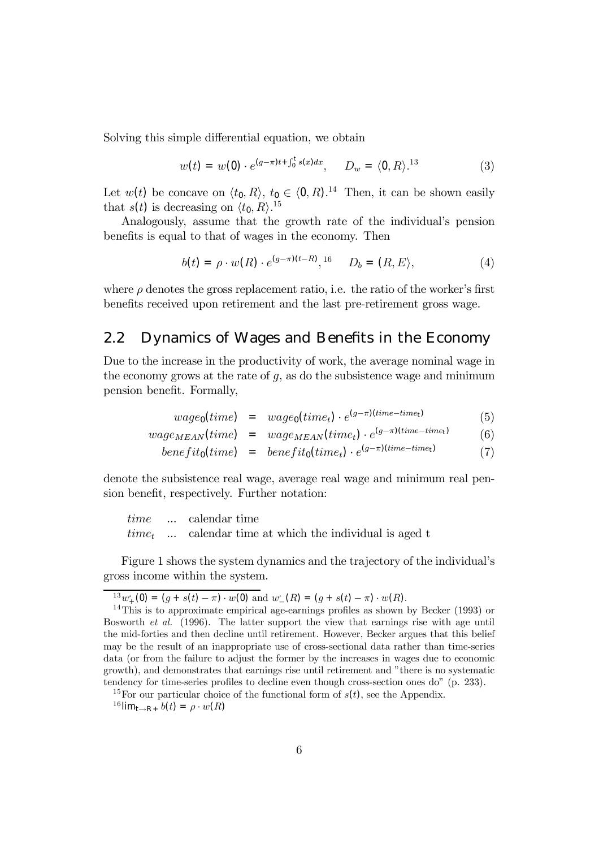Solving this simple differential equation, we obtain

$$
w(t) = w(0) \cdot e^{(g-\pi)t + \int_0^t s(x)dx}, \qquad D_w = \langle 0, R \rangle^{13} \tag{3}
$$

Let  $w(t)$  be concave on  $\langle t_0, R \rangle$ ,  $t_0 \in \langle 0, R \rangle$ .<sup>14</sup> Then, it can be shown easily that  $s(t)$  is decreasing on  $\langle t_0, R \rangle$ .<sup>15</sup>

Analogously, assume that the growth rate of the individual's pension benefits is equal to that of wages in the economy. Then

$$
b(t) = \rho \cdot w(R) \cdot e^{(g-\pi)(t-R)}, \quad b = (R, E), \tag{4}
$$

where  $\rho$  denotes the gross replacement ratio, i.e. the ratio of the worker's first benefits received upon retirement and the last pre-retirement gross wage.

### 2.2 Dynamics of Wages and Benefits in the Economy

Due to the increase in the productivity of work, the average nominal wage in the economy grows at the rate of  $g$ , as do the subsistence wage and minimum pension benefit. Formally,

$$
wage_0(time) = wage_0(time_t) \cdot e^{(g-\pi)(time-time_t)} \tag{5}
$$

$$
wage_{MEAN}(time) = wage_{MEAN}(time_t) \cdot e^{(g-\pi)(time-time)} \tag{6}
$$

$$
benefit_0(time) = benefit_0(time_t) \cdot e^{(g-\pi)(time-time_t)} \tag{7}
$$

denote the subsistence real wage, average real wage and minimum real pension benefit, respectively. Further notation:

$$
time \quad ... \quad calendar time
$$
\n
$$
time_t \quad ... \quad calendar time at which the individual is aged t
$$

Figure 1 shows the system dynamics and the trajectory of the individual's gross income within the system.

 $\frac{13}{14}w_+^{\prime}(0) = (g + s(t) - \pi) \cdot w(0)$  and w.

 $^{14}$ This is to approximate empirical age-earnings profiles as shown by Becker (1993) or Bosworth et al. (1996). The latter support the view that earnings rise with age until the mid-forties and then decline until retirement. However, Becker argues that this belief may be the result of an inappropriate use of cross-sectional data rather than time-series data (or from the failure to adjust the former by the increases in wages due to economic growth), and demonstrates that earnings rise until retirement and îthere is no systematic tendency for time-series profiles to decline even though cross-section ones do" (p. 233).

<sup>&</sup>lt;sup>15</sup>For our particular choice of the functional form of  $s(t)$ , see the Appendix.

 $16$  lim<sub>t→R+</sub>  $b(t) = \rho \cdot w(R)$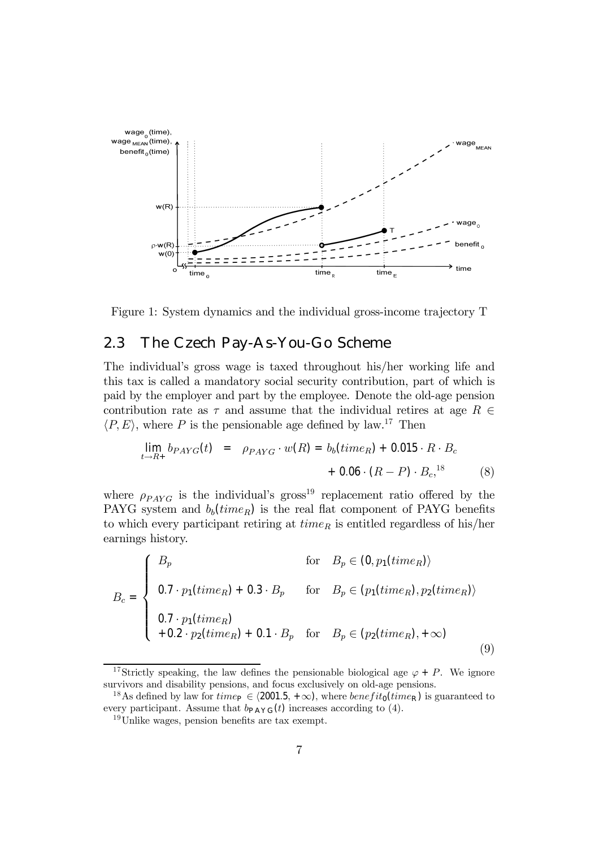



#### 2.3 The Czech Pay-As-You-Go Scheme

The individualís gross wage is taxed throughout his/her working life and this tax is called a mandatory social security contribution, part of which is paid by the employer and part by the employee. Denote the old-age pension contribution rate as  $\tau$  and assume that the individual retires at age  $R \in$  $\langle P, E \rangle$ , where P is the pensionable age defined by law.<sup>17</sup> Then

$$
\lim_{t \to R+} b_{PAYG}(t) = \rho_{PAYG} \cdot w(R) = b_b(time_R) + 0.015 \cdot R \cdot B_c
$$
  
+ 0.06 \cdot (R - P) \cdot B\_c,<sup>18</sup> (8)

where  $\rho_{PAYG}$  is the individual's gross<sup>19</sup> replacement ratio offered by the PAYG system and  $b_b(time_R)$  is the real flat component of PAYG benefits to which every participant retiring at  $time_R$  is entitled regardless of his/her earnings history.

$$
B_c = \begin{cases} B_p & \text{for} \quad B_p \in (0, p_1(time_R)) \\ 0.7 \cdot p_1(time_R) + 0.3 \cdot B_p & \text{for} \quad B_p \in (p_1(time_R), p_2(time_R)) \\ 0.7 \cdot p_1(time_R) \\ + 0.2 \cdot p_2(time_R) + 0.1 \cdot B_p & \text{for} \quad B_p \in (p_2(time_R), +\infty) \end{cases}
$$
(9)

<sup>&</sup>lt;sup>17</sup>Strictly speaking, the law defines the pensionable biological age  $\varphi + P$ . We ignore survivors and disability pensions, and focus exclusively on old-age pensions.

<sup>&</sup>lt;sup>18</sup>As defined by law for time<sub>P</sub>  $\in$   $(2001.5, +\infty)$ , where *benefit*<sub>0</sub>(time<sub>R</sub>) is guaranteed to every participant. Assume that  $b_{PAYG}(t)$  increases according to (4).

<sup>1</sup>9Unlike wages, pension benefits are tax exempt.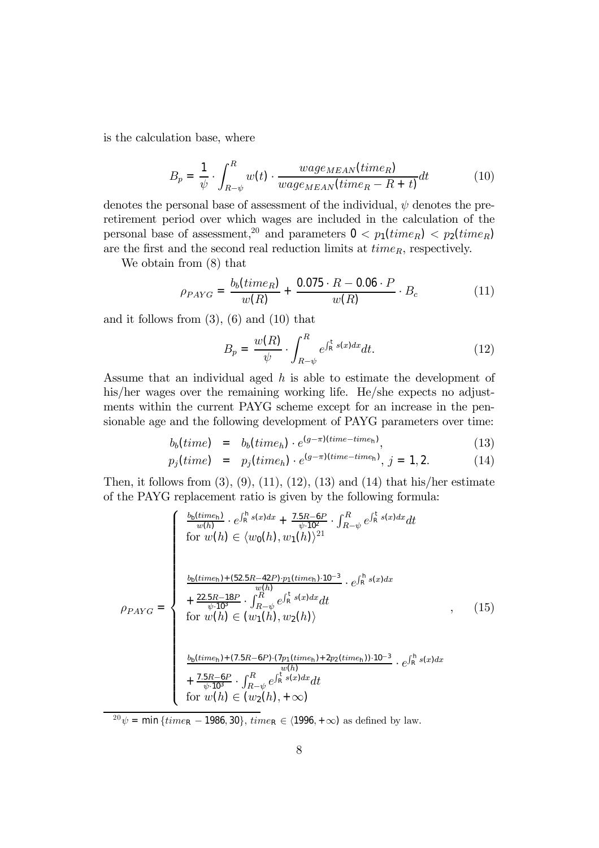is the calculation base, where

$$
B_p = \frac{1}{\psi} \cdot \int_{R-\psi}^{R} w(t) \cdot \frac{wage_{MEMN}(time_R)}{wage_{MEMN}(time_R - R + t)} dt
$$
 (10)

denotes the personal base of assessment of the individual,  $\psi$  denotes the preretirement period over which wages are included in the calculation of the personal base of assessment,<sup>20</sup> and parameters  $0 < p_1(time_R) < p_2(time_R)$ are the first and the second real reduction limits at  $time_R$ , respectively.

We obtain from (8) that

$$
\rho_{PAYG} = \frac{b_b (time_R)}{w(R)} + \frac{0.075 \cdot R - 0.06 \cdot P}{w(R)} \cdot B_c \tag{11}
$$

and it follows from  $(3)$ ,  $(6)$  and  $(10)$  that

$$
B_p = \frac{w(R)}{\psi} \cdot \int_{R-\psi}^R e^{\int_R^t s(x)dx} dt.
$$
 (12)

Assume that an individual aged  $h$  is able to estimate the development of his/her wages over the remaining working life. He/she expects no adjustments within the current PAYG scheme except for an increase in the pensionable age and the following development of PAYG parameters over time:

$$
b_b(time) = b_b(time_h) \cdot e^{(g-\pi)(time-time_h)}, \qquad (13)
$$

$$
p_j(time) = p_j(time_h) \cdot e^{(g-\pi)(time - time_h)}, j = 1, 2.
$$
 (14)

Then, it follows from  $(3)$ ,  $(9)$ ,  $(11)$ ,  $(12)$ ,  $(13)$  and  $(14)$  that his/her estimate of the PAYG replacement ratio is given by the following formula:

$$
\rho_{PAYG} = \begin{cases}\n\frac{b_{\text{b}}(time_{\text{h}})}{w(h)} \cdot e^{\int_{\text{R}}^{h} s(x)dx} + \frac{7.5R - 6P}{\psi \cdot 10^{2}} \cdot \int_{R - \psi}^{R} e^{\int_{\text{R}}^{t} s(x)dx} dt \\
\text{for } w(h) \in \langle w_{0}(h), w_{1}(h) \rangle^{21} \\
\frac{b_{\text{b}}(time_{\text{h}}) + (52.5R - 42P) \cdot p_{1}(time_{\text{h}}) \cdot 10^{-3}}{w(h)} \cdot e^{\int_{\text{R}}^{h} s(x)dx} \\
+ \frac{22.5R - 18P}{\psi \cdot 10^{3}} \cdot \int_{R - \psi}^{R} e^{\int_{\text{R}}^{t} s(x)dx} dt \\
\text{for } w(h) \in \langle w_{1}(h), w_{2}(h) \rangle\n\end{cases}
$$
\n
$$
\frac{b_{\text{b}}(time_{\text{h}}) + (7.5R - 6P) \cdot (7p_{1}(time_{\text{h}}) + 2p_{2}(time_{\text{h}})) \cdot 10^{-3}}{w(h)} \cdot e^{\int_{\text{R}}^{h} s(x)dx} \\
+ \frac{7.5R - 6P}{\psi \cdot 10^{3}} \cdot \int_{R - \psi}^{R} e^{\int_{\text{R}}^{t} s(x)dx} dt \\
\text{for } w(h) \in (w_{2}(h), + \infty)\n\end{cases}
$$
\n(15)

 $^{20}\psi = \min \{time_R - 1986, 30\}, time_R \in (1996, +\infty)$  as defined by law.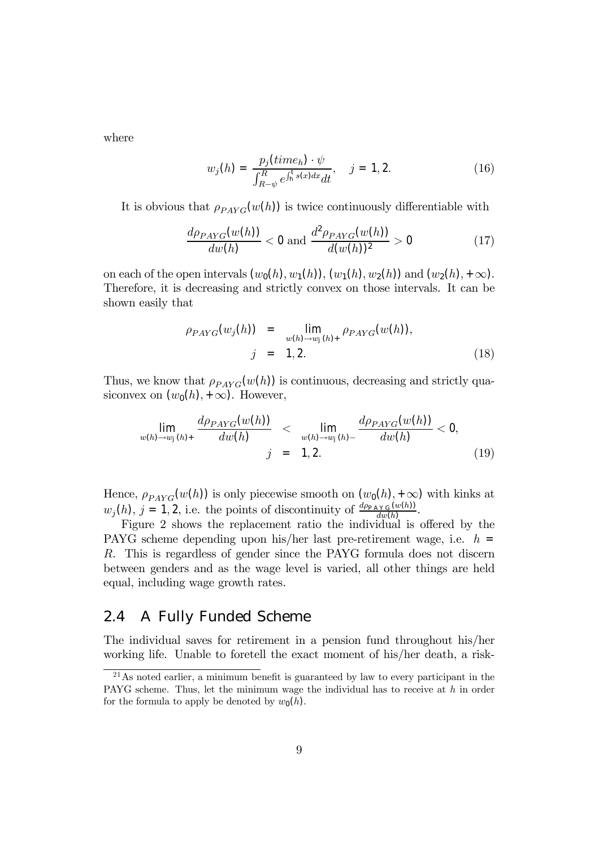where

$$
w_j(h) = \frac{p_j(time_h) \cdot \psi}{\int_{R-\psi}^R e^{\int_h^t s(x)dx} dt}, \quad j = 1, 2.
$$
 (16)

It is obvious that  $\rho_{PAYG}(w(h))$  is twice continuously differentiable with

$$
\frac{d\rho_{PAYG}(w(h))}{dw(h)} < 0 \text{ and } \frac{d^2\rho_{PAYG}(w(h))}{d(w(h))^2} > 0 \tag{17}
$$

on each of the open intervals  $(w_0(h), w_1(h)), (w_1(h), w_2(h))$  and  $(w_2(h), +\infty)$ . Therefore, it is decreasing and strictly convex on those intervals. It can be shown easily that

$$
\rho_{PAYG}(w_j(h)) = \lim_{w(h) \to w_j(h)_{+}} \rho_{PAYG}(w(h)), \nj = 1, 2.
$$
\n(18)

Thus, we know that  $\rho_{PAYG}(w(h))$  is continuous, decreasing and strictly quasiconvex on  $(w_0(h), +\infty)$ . However,

$$
\lim_{w(h)\to w_j(h)+} \frac{d\rho_{PAYG}(w(h))}{dw(h)} < \lim_{w(h)\to w_j(h)-} \frac{d\rho_{PAYG}(w(h))}{dw(h)} < 0, \nj = 1, 2.
$$
\n(19)

Hence,  $\rho_{PAYG}(w(h))$  is only piecewise smooth on  $(w_0(h), +\infty)$  with kinks at  $w_j(h)$ ,  $j = 1, 2$ , i.e. the points of discontinuity of  $\frac{d\rho_{\text{PAYG}}(w(h))}{dw(h)}$ .

Figure 2 shows the replacement ratio the individual is offered by the PAYG scheme depending upon his/her last pre-retirement wage, i.e.  $h =$ R. This is regardless of gender since the PAYG formula does not discern between genders and as the wage level is varied, all other things are held equal, including wage growth rates.

#### 2.4 A Fully Funded Scheme

The individual saves for retirement in a pension fund throughout his/her working life. Unable to foretell the exact moment of his/her death, a risk-

<sup>2</sup>1As noted earlier, a minimum benefit is guaranteed by law to every participant in the PAYG scheme. Thus, let the minimum wage the individual has to receive at h in order for the formula to apply be denoted by  $w_0(h)$ .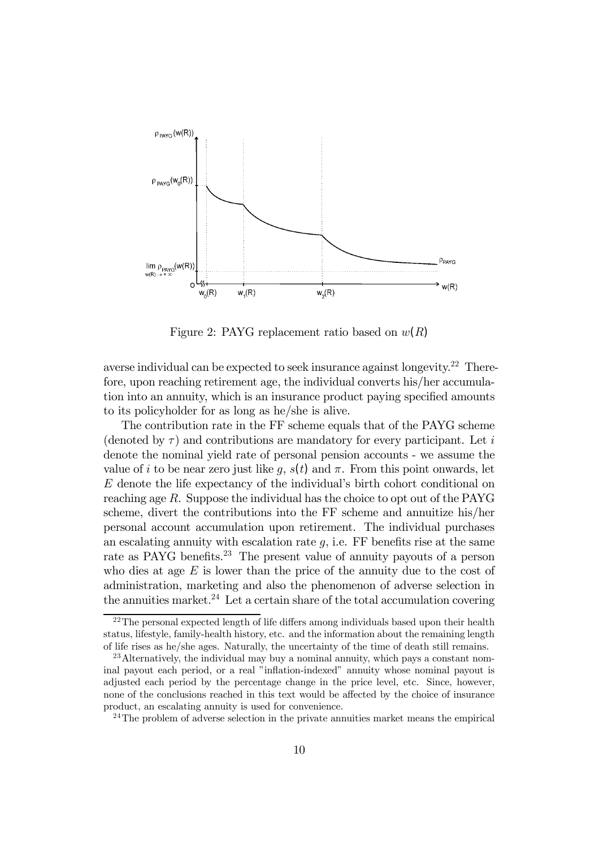

Figure 2: PAYG replacement ratio based on  $w(R)$ 

averse individual can be expected to seek insurance against longevity.<sup>22</sup> Therefore, upon reaching retirement age, the individual converts his/her accumulation into an annuity, which is an insurance product paying specified amounts to its policyholder for as long as he/she is alive.

The contribution rate in the FF scheme equals that of the PAYG scheme (denoted by  $\tau$ ) and contributions are mandatory for every participant. Let i denote the nominal yield rate of personal pension accounts - we assume the value of i to be near zero just like g,  $s(t)$  and  $\pi$ . From this point onwards, let  $E$  denote the life expectancy of the individual's birth cohort conditional on reaching age R. Suppose the individual has the choice to opt out of the PAYG scheme, divert the contributions into the FF scheme and annuitize his/her personal account accumulation upon retirement. The individual purchases an escalating annuity with escalation rate  $q$ , i.e. FF benefits rise at the same rate as PAYG benefits.<sup>23</sup> The present value of annuity payouts of a person who dies at age  $E$  is lower than the price of the annuity due to the cost of administration, marketing and also the phenomenon of adverse selection in the annuities market.<sup>24</sup> Let a certain share of the total accumulation covering

 $^{22}$ The personal expected length of life differs among individuals based upon their health status, lifestyle, family-health history, etc. and the information about the remaining length of life rises as he/she ages. Naturally, the uncertainty of the time of death still remains.

<sup>&</sup>lt;sup>23</sup>Alternatively, the individual may buy a nominal annuity, which pays a constant nominal payout each period, or a real "inflation-indexed" annuity whose nominal payout is adjusted each period by the percentage change in the price level, etc. Since, however, none of the conclusions reached in this text would be affected by the choice of insurance product, an escalating annuity is used for convenience.

<sup>&</sup>lt;sup>24</sup>The problem of adverse selection in the private annuities market means the empirical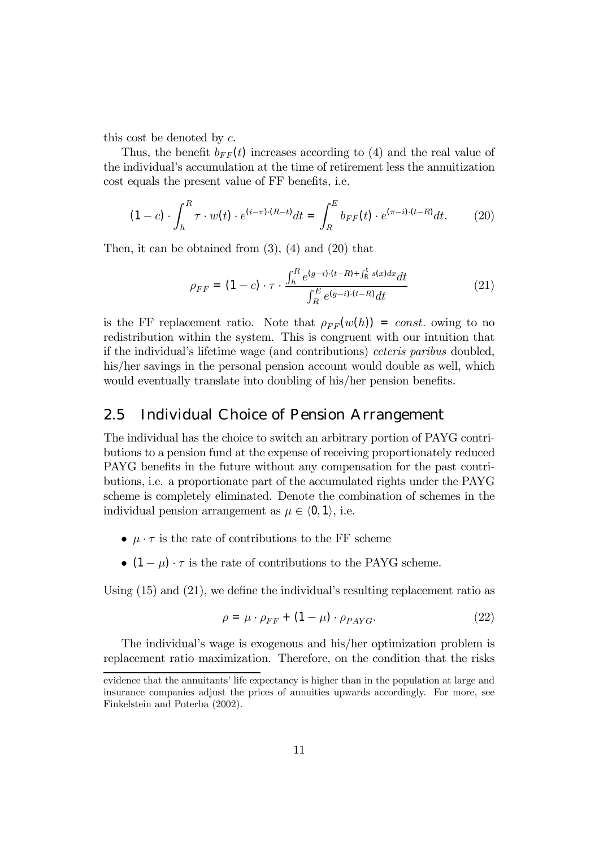this cost be denoted by c.

Thus, the benefit  $b_{FF}(t)$  increases according to (4) and the real value of the individualís accumulation at the time of retirement less the annuitization cost equals the present value of FF benefits, i.e.

$$
(1 - c) \cdot \int_{h}^{R} \tau \cdot w(t) \cdot e^{(i - \pi) \cdot (R - t)} dt = \int_{R}^{E} b_{FF}(t) \cdot e^{(\pi - i) \cdot (t - R)} dt. \tag{20}
$$

Then, it can be obtained from (3), (4) and (20) that

$$
\rho_{FF} = (1 - c) \cdot \tau \cdot \frac{\int_h^R e^{(g-i)\cdot (t-R) + \int_R^t s(x)dx} dt}{\int_R^E e^{(g-i)\cdot (t-R)} dt}
$$
(21)

is the FF replacement ratio. Note that  $\rho_{FF}(w(h)) = const.$  owing to no redistribution within the system. This is congruent with our intuition that if the individual's lifetime wage (and contributions) ceteris paribus doubled, his/her savings in the personal pension account would double as well, which would eventually translate into doubling of his/her pension benefits.

### 2.5 Individual Choice of Pension Arrangement

The individual has the choice to switch an arbitrary portion of PAYG contributions to a pension fund at the expense of receiving proportionately reduced PAYG benefits in the future without any compensation for the past contributions, i.e. a proportionate part of the accumulated rights under the PAYG scheme is completely eliminated. Denote the combination of schemes in the individual pension arrangement as  $\mu \in \langle 0, 1 \rangle$ , i.e.

- $\mu \cdot \tau$  is the rate of contributions to the FF scheme
- $(1 \mu) \cdot \tau$  is the rate of contributions to the PAYG scheme.

Using  $(15)$  and  $(21)$ , we define the individual's resulting replacement ratio as

$$
\rho = \mu \cdot \rho_{FF} + (1 - \mu) \cdot \rho_{PAYG}.
$$
\n(22)

The individual's wage is exogenous and his/her optimization problem is replacement ratio maximization. Therefore, on the condition that the risks

evidence that the annuitants' life expectancy is higher than in the population at large and insurance companies adjust the prices of annuities upwards accordingly. For more, see Finkelstein and Poterba (2002).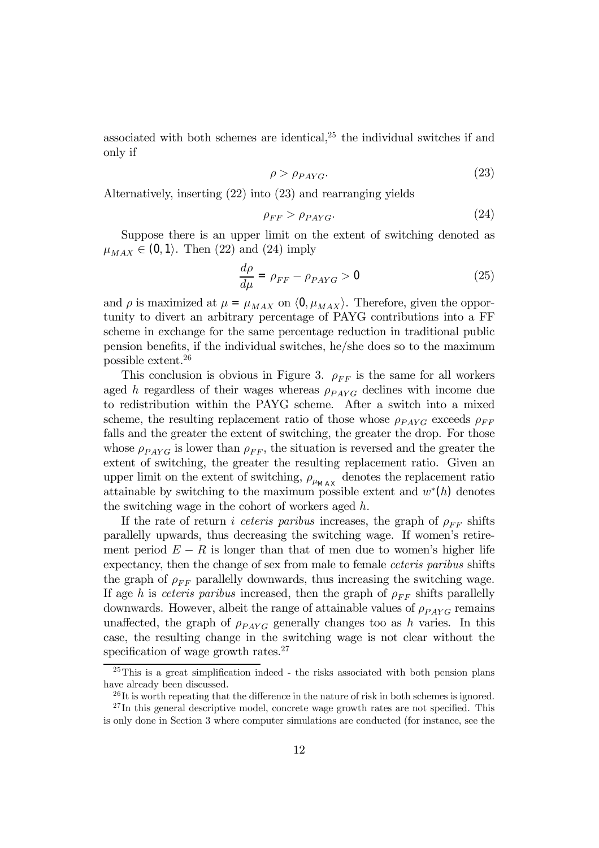associated with both schemes are identical, $2<sup>5</sup>$  the individual switches if and only if

$$
\rho > \rho_{PAYG}.\tag{23}
$$

Alternatively, inserting (22) into (23) and rearranging yields

$$
\rho_{FF} > \rho_{PAYG}.\tag{24}
$$

Suppose there is an upper limit on the extent of switching denoted as  $\mu_{MAX} \in (0, 1)$ . Then (22) and (24) imply

$$
\frac{d\rho}{d\mu} = \rho_{FF} - \rho_{PAYG} > 0
$$
\n(25)

and  $\rho$  is maximized at  $\mu = \mu_{MAX}$  on  $\langle 0, \mu_{MAX} \rangle$ . Therefore, given the opportunity to divert an arbitrary percentage of PAYG contributions into a FF scheme in exchange for the same percentage reduction in traditional public pension benefits, if the individual switches, he/she does so to the maximum possible extent.26

This conclusion is obvious in Figure 3.  $\rho_{FF}$  is the same for all workers aged h regardless of their wages whereas  $\rho_{PAYG}$  declines with income due to redistribution within the PAYG scheme. After a switch into a mixed scheme, the resulting replacement ratio of those whose  $\rho_{PAYG}$  exceeds  $\rho_{FF}$ falls and the greater the extent of switching, the greater the drop. For those whose  $\rho_{PAYG}$  is lower than  $\rho_{FF}$ , the situation is reversed and the greater the extent of switching, the greater the resulting replacement ratio. Given an upper limit on the extent of switching,  $\rho_{\mu_{\text{MAX}}}$  denotes the replacement ratio attainable by switching to the maximum possible extent and  $w^*(h)$  denotes the switching wage in the cohort of workers aged h.

If the rate of return *i ceteris paribus* increases, the graph of  $\rho_{FF}$  shifts parallelly upwards, thus decreasing the switching wage. If women's retirement period  $E - R$  is longer than that of men due to women's higher life expectancy, then the change of sex from male to female ceteris paribus shifts the graph of  $\rho_{FF}$  parallelly downwards, thus increasing the switching wage. If age h is ceteris paribus increased, then the graph of  $\rho_{FF}$  shifts parallelly downwards. However, albeit the range of attainable values of  $\rho_{PAYG}$  remains unaffected, the graph of  $\rho_{PAVG}$  generally changes too as h varies. In this case, the resulting change in the switching wage is not clear without the specification of wage growth rates. $27$ 

 $^{25}$ This is a great simplification indeed - the risks associated with both pension plans have already been discussed.

 $^{26}$ It is worth repeating that the difference in the nature of risk in both schemes is ignored.

 $^{27}$ In this general descriptive model, concrete wage growth rates are not specified. This is only done in Section 3 where computer simulations are conducted (for instance, see the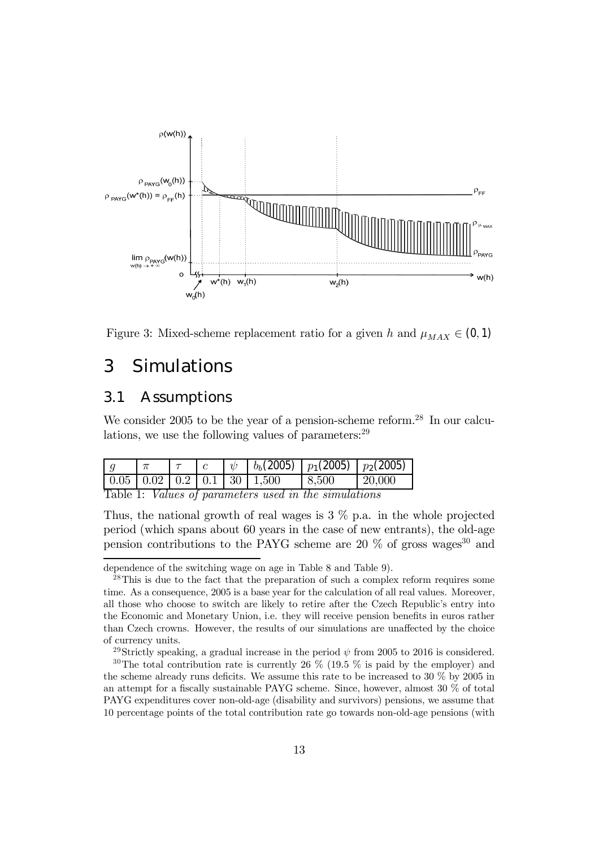



# 3 Simulations

### 3.1 Assumptions

We consider 2005 to be the year of a pension-scheme reform.<sup>28</sup> In our calculations, we use the following values of parameters:  $29$ 

|                                                              |  |  |  |  |  | $\sqrt{v}$ $b_b(2005)$ $\sqrt{p_1(2005)}$ $\sqrt{p_2(2005)}$ |              |  |  |  |
|--------------------------------------------------------------|--|--|--|--|--|--------------------------------------------------------------|--------------|--|--|--|
|                                                              |  |  |  |  |  |                                                              | $\pm 20,000$ |  |  |  |
| Table 1: <i>Values of parameters used in the simulations</i> |  |  |  |  |  |                                                              |              |  |  |  |

Thus, the national growth of real wages is  $3\%$  p.a. in the whole projected period (which spans about 60 years in the case of new entrants), the old-age pension contributions to the PAYG scheme are 20  $\%$  of gross wages<sup>30</sup> and

<sup>29</sup>Strictly speaking, a gradual increase in the period  $\psi$  from 2005 to 2016 is considered.

dependence of the switching wage on age in Table 8 and Table 9).

<sup>&</sup>lt;sup>28</sup>This is due to the fact that the preparation of such a complex reform requires some time. As a consequence, 2005 is a base year for the calculation of all real values. Moreover, all those who choose to switch are likely to retire after the Czech Republic's entry into the Economic and Monetary Union, i.e. they will receive pension benefits in euros rather than Czech crowns. However, the results of our simulations are unaffected by the choice of currency units.

<sup>&</sup>lt;sup>30</sup>The total contribution rate is currently 26  $\%$  (19.5  $\%$  is paid by the employer) and the scheme already runs deficits. We assume this rate to be increased to 30 % by 2005 in an attempt for a fiscally sustainable PAYG scheme. Since, however, almost 30 % of total PAYG expenditures cover non-old-age (disability and survivors) pensions, we assume that 10 percentage points of the total contribution rate go towards non-old-age pensions (with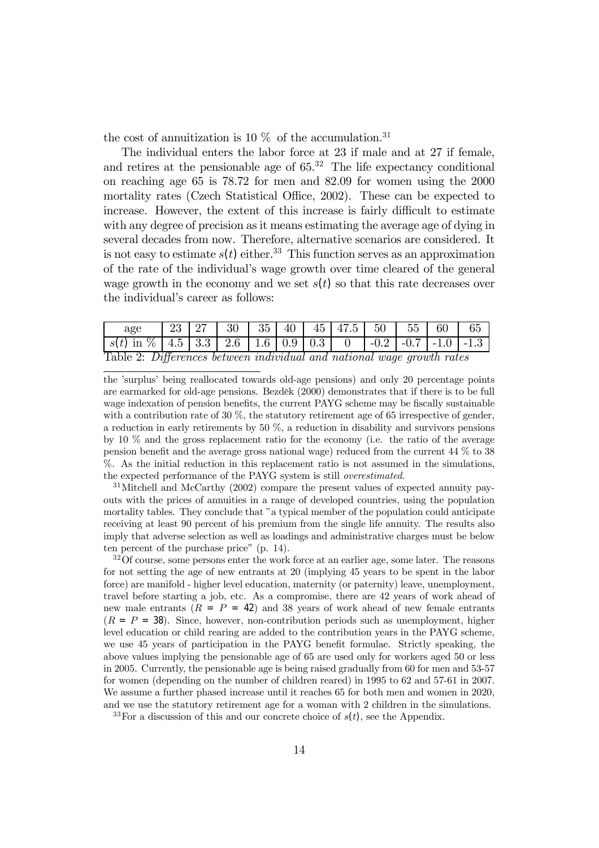the cost of annuitization is 10  $\%$  of the accumulation.<sup>31</sup>

The individual enters the labor force at 23 if male and at 27 if female, and retires at the pensionable age of  $65<sup>32</sup>$ . The life expectancy conditional on reaching age 65 is 78.72 for men and 82.09 for women using the 2000 mortality rates (Czech Statistical Office, 2002). These can be expected to increase. However, the extent of this increase is fairly difficult to estimate with any degree of precision as it means estimating the average age of dying in several decades from now. Therefore, alternative scenarios are considered. It is not easy to estimate  $s(t)$  either.<sup>33</sup> This function serves as an approximation of the rate of the individual's wage growth over time cleared of the general wage growth in the economy and we set  $s(t)$  so that this rate decreases over the individual's career as follows:

| age                                                                                   |  |  |  |  |  |  | 23   27   30   35   40   45   47.5   50   55   60 |  |  |  | 65 |
|---------------------------------------------------------------------------------------|--|--|--|--|--|--|---------------------------------------------------|--|--|--|----|
| $\mid s(t)$ in \%   4.5   3.3   2.6   1.6   0.9   0.3   0   -0.2   -0.7   -1.0   -1.3 |  |  |  |  |  |  |                                                   |  |  |  |    |
| Table 2: Differences between individual and national wage growth rates                |  |  |  |  |  |  |                                                   |  |  |  |    |

the ísurplusí being reallocated towards old-age pensions) and only 20 percentage points are earmarked for old-age pensions. Bezděk (2000) demonstrates that if there is to be full wage indexation of pension benefits, the current PAYG scheme may be fiscally sustainable with a contribution rate of  $30\%$ , the statutory retirement age of 65 irrespective of gender, a reduction in early retirements by 50 %, a reduction in disability and survivors pensions by 10 % and the gross replacement ratio for the economy (i.e. the ratio of the average pension benefit and the average gross national wage) reduced from the current 44 % to 38 %. As the initial reduction in this replacement ratio is not assumed in the simulations, the expected performance of the PAYG system is still overestimated.

<sup>3</sup>1Mitchell and McCarthy (2002) compare the present values of expected annuity payouts with the prices of annuities in a range of developed countries, using the population mortality tables. They conclude that "a typical member of the population could anticipate receiving at least 90 percent of his premium from the single life annuity. The results also imply that adverse selection as well as loadings and administrative charges must be below ten percent of the purchase price"  $(p. 14)$ .

<sup>32</sup>Of course, some persons enter the work force at an earlier age, some later. The reasons for not setting the age of new entrants at 20 (implying 45 years to be spent in the labor force) are manifold - higher level education, maternity (or paternity) leave, unemployment, travel before starting a job, etc. As a compromise, there are 42 years of work ahead of new male entrants  $(R = P = 42)$  and 38 years of work ahead of new female entrants  $(R = P = 38)$ . Since, however, non-contribution periods such as unemployment, higher level education or child rearing are added to the contribution years in the PAYG scheme, we use 45 years of participation in the PAYG benefit formulae. Strictly speaking, the above values implying the pensionable age of 65 are used only for workers aged 50 or less in 2005. Currently, the pensionable age is being raised gradually from 60 for men and 53-57 for women (depending on the number of children reared) in 1995 to 62 and 57-61 in 2007. We assume a further phased increase until it reaches 65 for both men and women in 2020, and we use the statutory retirement age for a woman with 2 children in the simulations.

<sup>33</sup>For a discussion of this and our concrete choice of  $s(t)$ , see the Appendix.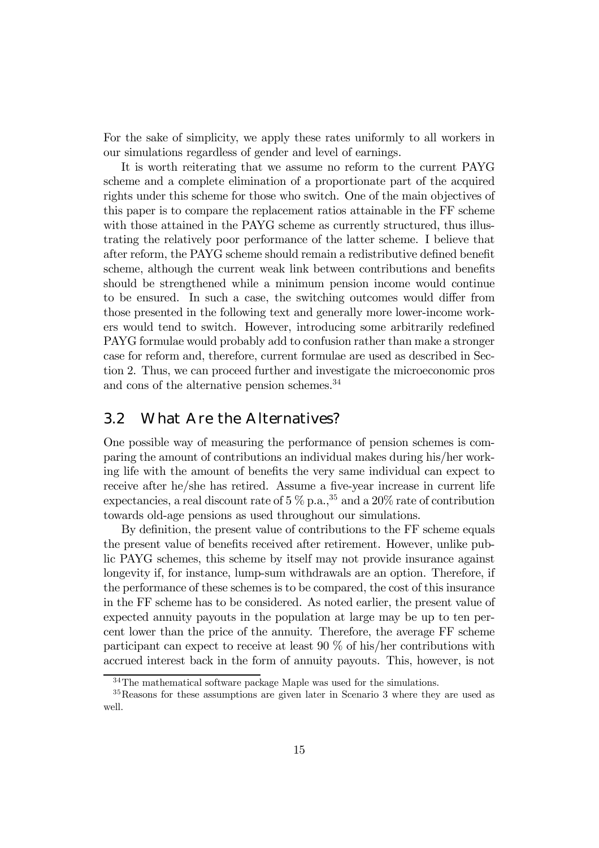For the sake of simplicity, we apply these rates uniformly to all workers in our simulations regardless of gender and level of earnings.

It is worth reiterating that we assume no reform to the current PAYG scheme and a complete elimination of a proportionate part of the acquired rights under this scheme for those who switch. One of the main objectives of this paper is to compare the replacement ratios attainable in the FF scheme with those attained in the PAYG scheme as currently structured, thus illustrating the relatively poor performance of the latter scheme. I believe that after reform, the PAYG scheme should remain a redistributive defined benefit scheme, although the current weak link between contributions and benefits should be strengthened while a minimum pension income would continue to be ensured. In such a case, the switching outcomes would differ from those presented in the following text and generally more lower-income workers would tend to switch. However, introducing some arbitrarily redefined PAYG formulae would probably add to confusion rather than make a stronger case for reform and, therefore, current formulae are used as described in Section 2. Thus, we can proceed further and investigate the microeconomic pros and cons of the alternative pension schemes.<sup>34</sup>

### 3.2 What Are the Alternatives?

One possible way of measuring the performance of pension schemes is comparing the amount of contributions an individual makes during his/her working life with the amount of benefits the very same individual can expect to receive after he/she has retired. Assume a five-year increase in current life expectancies, a real discount rate of  $5\%$  p.a.,<sup>35</sup> and a 20% rate of contribution towards old-age pensions as used throughout our simulations.

By definition, the present value of contributions to the FF scheme equals the present value of benefits received after retirement. However, unlike public PAYG schemes, this scheme by itself may not provide insurance against longevity if, for instance, lump-sum withdrawals are an option. Therefore, if the performance of these schemes is to be compared, the cost of this insurance in the FF scheme has to be considered. As noted earlier, the present value of expected annuity payouts in the population at large may be up to ten percent lower than the price of the annuity. Therefore, the average FF scheme participant can expect to receive at least 90 % of his/her contributions with accrued interest back in the form of annuity payouts. This, however, is not

<sup>34</sup>The mathematical software package Maple was used for the simulations.

<sup>35</sup>Reasons for these assumptions are given later in Scenario 3 where they are used as well.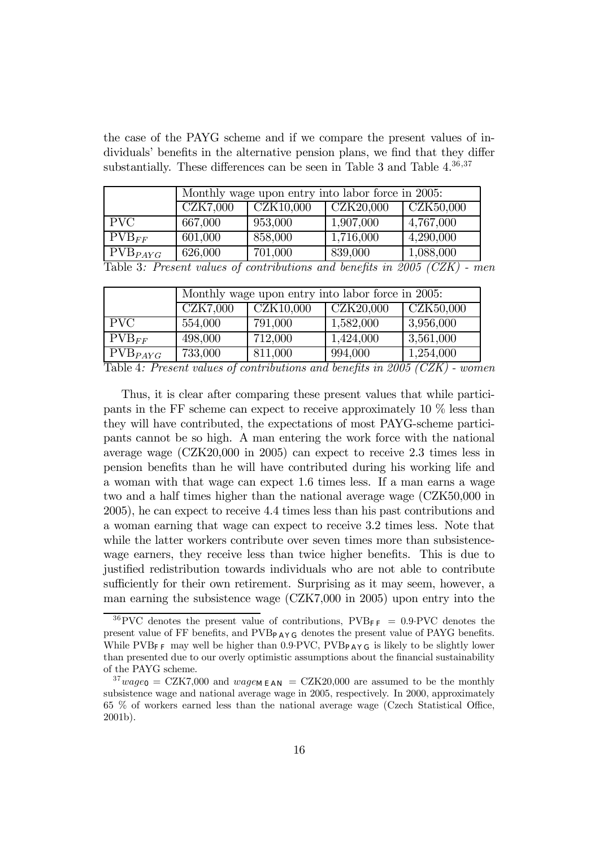the case of the PAYG scheme and if we compare the present values of individuals' benefits in the alternative pension plans, we find that they differ substantially. These differences can be seen in Table 3 and Table  $4^{36,37}$ 

|                   |          | Monthly wage upon entry into labor force in 2005: |                                                             |                        |  |  |  |  |
|-------------------|----------|---------------------------------------------------|-------------------------------------------------------------|------------------------|--|--|--|--|
|                   | CZK7,000 | $\vert$ CZK10,000                                 | CZK20,000                                                   | $\overline{CZK50,000}$ |  |  |  |  |
| <b>PVC</b>        | 667,000  | 953,000                                           | 1,907,000                                                   | 4,767,000              |  |  |  |  |
| $\text{PVB}_{FF}$ | 601,000  | 858,000                                           | 1,716,000                                                   | 4,290,000              |  |  |  |  |
| $PVB_{PAYG}$      | 626,000  | 701,000                                           | 839,000                                                     | 1,088,000              |  |  |  |  |
|                   |          |                                                   | $T11.9 \quad D \quad 11.$ $(11.1)$ $(11.1)$ $(11.0007)(77)$ |                        |  |  |  |  |

Table 3: Present values of contributions and benefits in 2005 (CZK) - men

|                   |          | Monthly wage upon entry into labor force in 2005: |           |                               |  |  |  |  |  |
|-------------------|----------|---------------------------------------------------|-----------|-------------------------------|--|--|--|--|--|
|                   | CZK7,000 | CZK10,000                                         | CZK20,000 | $\overline{\text{CZK50,000}}$ |  |  |  |  |  |
| <b>PVC</b>        | 554,000  | 791,000                                           | 1,582,000 | 3,956,000                     |  |  |  |  |  |
| $\text{PVB}_{FF}$ | 498,000  | 712,000                                           | 1,424,000 | 3,561,000                     |  |  |  |  |  |
| $PVB_{PAYG}$      | 733,000  | 811,000                                           | 994,000   | 1,254,000                     |  |  |  |  |  |

Table 4: Present values of contributions and benefits in 2005 (CZK) - women

Thus, it is clear after comparing these present values that while participants in the FF scheme can expect to receive approximately 10 % less than they will have contributed, the expectations of most PAYG-scheme participants cannot be so high. A man entering the work force with the national average wage (CZK20,000 in 2005) can expect to receive 2.3 times less in pension benefits than he will have contributed during his working life and a woman with that wage can expect 1.6 times less. If a man earns a wage two and a half times higher than the national average wage (CZK50,000 in 2005), he can expect to receive 4.4 times less than his past contributions and a woman earning that wage can expect to receive 3.2 times less. Note that while the latter workers contribute over seven times more than subsistencewage earners, they receive less than twice higher benefits. This is due to justified redistribution towards individuals who are not able to contribute sufficiently for their own retirement. Surprising as it may seem, however, a man earning the subsistence wage (CZK7,000 in 2005) upon entry into the

 $36$  PVC denotes the present value of contributions, PVB<sub>FF</sub> = 0.9 PVC denotes the present value of FF benefits, and  $PVB_{PAYG}$  denotes the present value of PAYG benefits. While PVB<sub>FF</sub> may well be higher than 0.9 PVC, PVB<sub>PAYG</sub> is likely to be slightly lower than presented due to our overly optimistic assumptions about the financial sustainability of the PAYG scheme.

 $37 \,mag$ <sub>0</sub> = CZK7,000 and  $wage_{\text{MEAN}}$  = CZK20,000 are assumed to be the monthly subsistence wage and national average wage in 2005, respectively. In 2000, approximately 65 % of workers earned less than the national average wage (Czech Statistical Office, 2001b).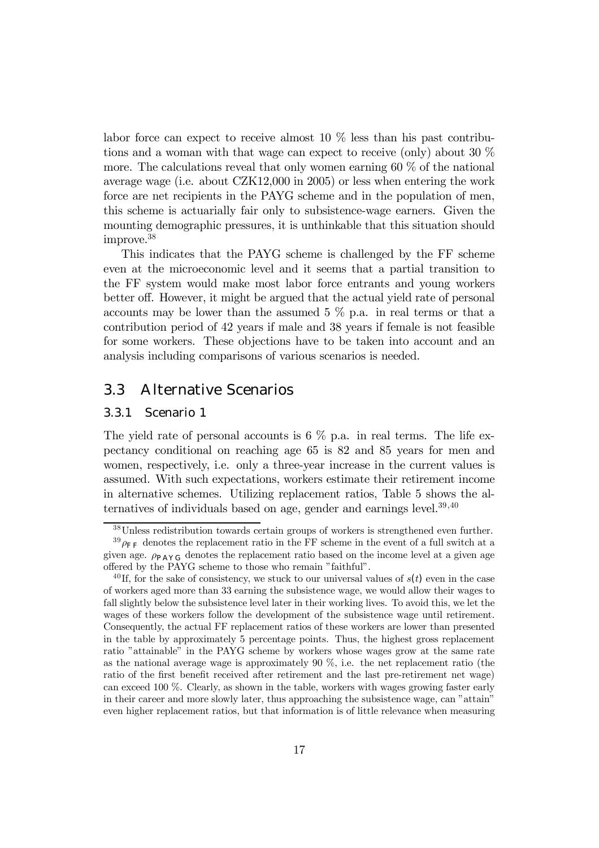labor force can expect to receive almost 10 % less than his past contributions and a woman with that wage can expect to receive (only) about 30 % more. The calculations reveal that only women earning  $60\%$  of the national average wage (i.e. about CZK12,000 in 2005) or less when entering the work force are net recipients in the PAYG scheme and in the population of men, this scheme is actuarially fair only to subsistence-wage earners. Given the mounting demographic pressures, it is unthinkable that this situation should improve.38

This indicates that the PAYG scheme is challenged by the FF scheme even at the microeconomic level and it seems that a partial transition to the FF system would make most labor force entrants and young workers better off. However, it might be argued that the actual yield rate of personal accounts may be lower than the assumed  $5\%$  p.a. in real terms or that a contribution period of 42 years if male and 38 years if female is not feasible for some workers. These objections have to be taken into account and an analysis including comparisons of various scenarios is needed.

### 3.3 Alternative Scenarios

#### 3.3.1 Scenario 1

The yield rate of personal accounts is  $6\%$  p.a. in real terms. The life expectancy conditional on reaching age 65 is 82 and 85 years for men and women, respectively, i.e. only a three-year increase in the current values is assumed. With such expectations, workers estimate their retirement income in alternative schemes. Utilizing replacement ratios, Table 5 shows the alternatives of individuals based on age, gender and earnings level.  $39,40$ 

<sup>38</sup>Unless redistribution towards certain groups of workers is strengthened even further.

 $39 \rho_{\text{FF}}$  denotes the replacement ratio in the FF scheme in the event of a full switch at a given age.  $\rho_{\text{PAY G}}$  denotes the replacement ratio based on the income level at a given age offered by the PAYG scheme to those who remain "faithful".

<sup>&</sup>lt;sup>40</sup> If, for the sake of consistency, we stuck to our universal values of  $s(t)$  even in the case of workers aged more than 33 earning the subsistence wage, we would allow their wages to fall slightly below the subsistence level later in their working lives. To avoid this, we let the wages of these workers follow the development of the subsistence wage until retirement. Consequently, the actual FF replacement ratios of these workers are lower than presented in the table by approximately 5 percentage points. Thus, the highest gross replacement ratio "attainable" in the PAYG scheme by workers whose wages grow at the same rate as the national average wage is approximately 90 %, i.e. the net replacement ratio (the ratio of the first benefit received after retirement and the last pre-retirement net wage) can exceed 100 %. Clearly, as shown in the table, workers with wages growing faster early in their career and more slowly later, thus approaching the subsistence wage, can "attain" even higher replacement ratios, but that information is of little relevance when measuring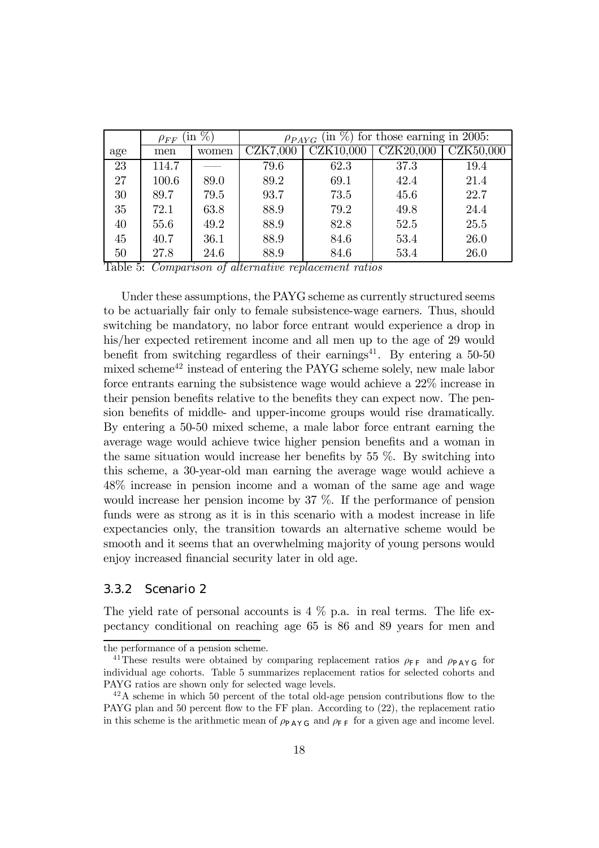|     | $\sin \%$<br>$\rho_{FF}$ |       | $(\text{in } \%)$<br>for those earning in 2005:<br>$\rho_{PAYG}$ |                                 |                  |           |  |  |
|-----|--------------------------|-------|------------------------------------------------------------------|---------------------------------|------------------|-----------|--|--|
| age | men                      | women | CZK7,000                                                         | $\overline{\text{CZK}}10{,}000$ | <b>CZK20,000</b> | CZK50,000 |  |  |
| 23  | 114.7                    |       | 79.6                                                             | 62.3                            | 37.3             | 19.4      |  |  |
| 27  | 100.6                    | 89.0  | 89.2                                                             | 69.1                            | 42.4             | 21.4      |  |  |
| 30  | 89.7                     | 79.5  | 93.7                                                             | 73.5                            | 45.6             | 22.7      |  |  |
| 35  | 72.1                     | 63.8  | 88.9                                                             | 79.2                            | 49.8             | 24.4      |  |  |
| 40  | 55.6                     | 49.2  | 88.9                                                             | 82.8                            | 52.5             | 25.5      |  |  |
| 45  | 40.7                     | 36.1  | 88.9                                                             | 84.6                            | 53.4             | 26.0      |  |  |
| 50  | 27.8                     | 24.6  | 88.9                                                             | 84.6                            | 53.4             | 26.0      |  |  |

Table 5: Comparison of alternative replacement ratios

Under these assumptions, the PAYG scheme as currently structured seems to be actuarially fair only to female subsistence-wage earners. Thus, should switching be mandatory, no labor force entrant would experience a drop in his/her expected retirement income and all men up to the age of 29 would benefit from switching regardless of their earnings<sup>41</sup>. By entering a  $50-50$ mixed scheme $42$  instead of entering the PAYG scheme solely, new male labor force entrants earning the subsistence wage would achieve a 22% increase in their pension benefits relative to the benefits they can expect now. The pension benefits of middle- and upper-income groups would rise dramatically. By entering a 50-50 mixed scheme, a male labor force entrant earning the average wage would achieve twice higher pension benefits and a woman in the same situation would increase her benefits by 55 %. By switching into this scheme, a 30-year-old man earning the average wage would achieve a 48% increase in pension income and a woman of the same age and wage would increase her pension income by 37 %. If the performance of pension funds were as strong as it is in this scenario with a modest increase in life expectancies only, the transition towards an alternative scheme would be smooth and it seems that an overwhelming majority of young persons would enjoy increased financial security later in old age.

#### 3.3.2 Scenario 2

The yield rate of personal accounts is  $4\%$  p.a. in real terms. The life expectancy conditional on reaching age 65 is 86 and 89 years for men and

the performance of a pension scheme.

<sup>&</sup>lt;sup>41</sup>These results were obtained by comparing replacement ratios  $\rho_{\text{FF}}$  and  $\rho_{\text{PAYG}}$  for individual age cohorts. Table 5 summarizes replacement ratios for selected cohorts and PAYG ratios are shown only for selected wage levels.

 $^{42}$ A scheme in which 50 percent of the total old-age pension contributions flow to the PAYG plan and 50 percent flow to the FF plan. According to (22), the replacement ratio in this scheme is the arithmetic mean of  $\rho_{\text{PAYG}}$  and  $\rho_{\text{FF}}$  for a given age and income level.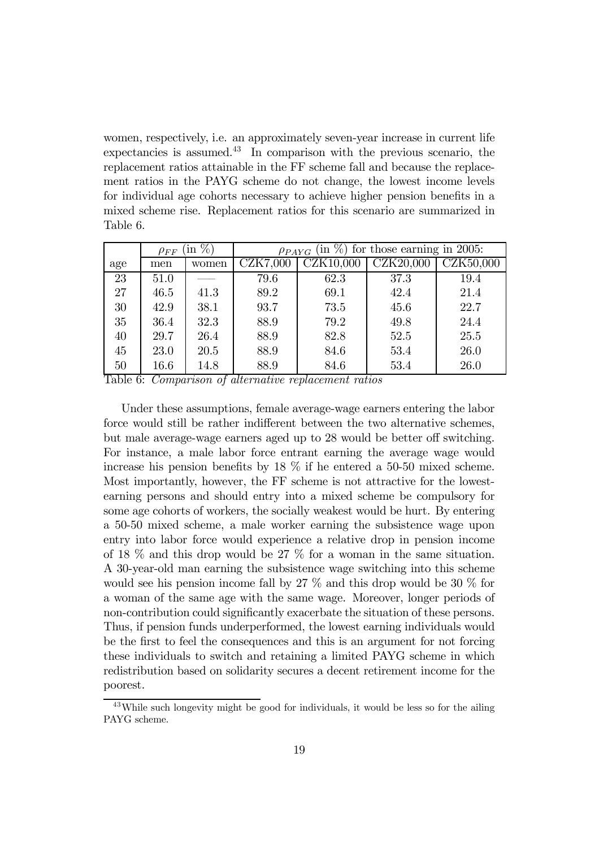women, respectively, i.e. an approximately seven-year increase in current life expectancies is assumed. $43$  In comparison with the previous scenario, the replacement ratios attainable in the FF scheme fall and because the replacement ratios in the PAYG scheme do not change, the lowest income levels for individual age cohorts necessary to achieve higher pension benefits in a mixed scheme rise. Replacement ratios for this scenario are summarized in Table 6.

|     | $\%$<br>$\ln$<br>$\rho_{FF}$ |       | $\left(\text{in } \%\right)$ for those earning in 2005:<br>$\rho_{PAYG}$ |           |           |           |  |  |
|-----|------------------------------|-------|--------------------------------------------------------------------------|-----------|-----------|-----------|--|--|
| age | men                          | women | <b>CZK7,000</b>                                                          | CZK10,000 | CZK20,000 | CZK50,000 |  |  |
| 23  | 51.0                         |       | 79.6                                                                     | 62.3      | 37.3      | 19.4      |  |  |
| 27  | 46.5                         | 41.3  | 89.2                                                                     | 69.1      | 42.4      | 21.4      |  |  |
| 30  | 42.9                         | 38.1  | 93.7                                                                     | 73.5      | 45.6      | 22.7      |  |  |
| 35  | 36.4                         | 32.3  | 88.9                                                                     | 79.2      | 49.8      | 24.4      |  |  |
| 40  | 29.7                         | 26.4  | 88.9                                                                     | 82.8      | 52.5      | 25.5      |  |  |
| 45  | 23.0                         | 20.5  | 88.9                                                                     | 84.6      | 53.4      | 26.0      |  |  |
| 50  | 16.6                         | 14.8  | 88.9                                                                     | 84.6      | 53.4      | 26.0      |  |  |

Table 6: Comparison of alternative replacement ratios

Under these assumptions, female average-wage earners entering the labor force would still be rather indifferent between the two alternative schemes, but male average-wage earners aged up to 28 would be better off switching. For instance, a male labor force entrant earning the average wage would increase his pension benefits by 18 % if he entered a 50-50 mixed scheme. Most importantly, however, the FF scheme is not attractive for the lowestearning persons and should entry into a mixed scheme be compulsory for some age cohorts of workers, the socially weakest would be hurt. By entering a 50-50 mixed scheme, a male worker earning the subsistence wage upon entry into labor force would experience a relative drop in pension income of 18 % and this drop would be 27 % for a woman in the same situation. A 30-year-old man earning the subsistence wage switching into this scheme would see his pension income fall by 27 % and this drop would be 30 % for a woman of the same age with the same wage. Moreover, longer periods of non-contribution could significantly exacerbate the situation of these persons. Thus, if pension funds underperformed, the lowest earning individuals would be the first to feel the consequences and this is an argument for not forcing these individuals to switch and retaining a limited PAYG scheme in which redistribution based on solidarity secures a decent retirement income for the poorest.

<sup>&</sup>lt;sup>43</sup>While such longevity might be good for individuals, it would be less so for the ailing PAYG scheme.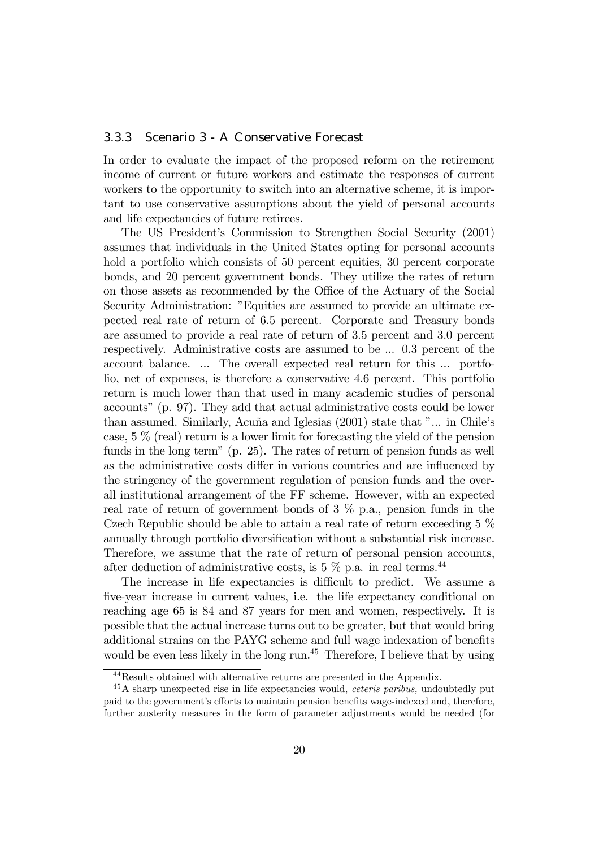#### 3.3.3 Scenario 3 - A Conservative Forecast

In order to evaluate the impact of the proposed reform on the retirement income of current or future workers and estimate the responses of current workers to the opportunity to switch into an alternative scheme, it is important to use conservative assumptions about the yield of personal accounts and life expectancies of future retirees.

The US President's Commission to Strengthen Social Security (2001) assumes that individuals in the United States opting for personal accounts hold a portfolio which consists of 50 percent equities, 30 percent corporate bonds, and 20 percent government bonds. They utilize the rates of return on those assets as recommended by the Office of the Actuary of the Social Security Administration: "Equities are assumed to provide an ultimate expected real rate of return of 6.5 percent. Corporate and Treasury bonds are assumed to provide a real rate of return of 3.5 percent and 3.0 percent respectively. Administrative costs are assumed to be ... 0.3 percent of the account balance. ... The overall expected real return for this ... portfolio, net of expenses, is therefore a conservative 4.6 percent. This portfolio return is much lower than that used in many academic studies of personal accountsî (p. 97). They add that actual administrative costs could be lower than assumed. Similarly, Acuña and Iglesias  $(2001)$  state that "... in Chile's case,  $5\%$  (real) return is a lower limit for forecasting the yield of the pension funds in the long term" (p. 25). The rates of return of pension funds as well as the administrative costs differ in various countries and are influenced by the stringency of the government regulation of pension funds and the overall institutional arrangement of the FF scheme. However, with an expected real rate of return of government bonds of 3 % p.a., pension funds in the Czech Republic should be able to attain a real rate of return exceeding 5 % annually through portfolio diversification without a substantial risk increase. Therefore, we assume that the rate of return of personal pension accounts, after deduction of administrative costs, is  $5\%$  p.a. in real terms.<sup>44</sup>

The increase in life expectancies is difficult to predict. We assume a five-year increase in current values, i.e. the life expectancy conditional on reaching age 65 is 84 and 87 years for men and women, respectively. It is possible that the actual increase turns out to be greater, but that would bring additional strains on the PAYG scheme and full wage indexation of benefits would be even less likely in the long run.<sup>45</sup> Therefore, I believe that by using

<sup>44</sup>Results obtained with alternative returns are presented in the Appendix.

 $45A$  sharp unexpected rise in life expectancies would, *ceteris paribus*, undoubtedly put paid to the governmentís efforts to maintain pension benefits wage-indexed and, therefore, further austerity measures in the form of parameter adjustments would be needed (for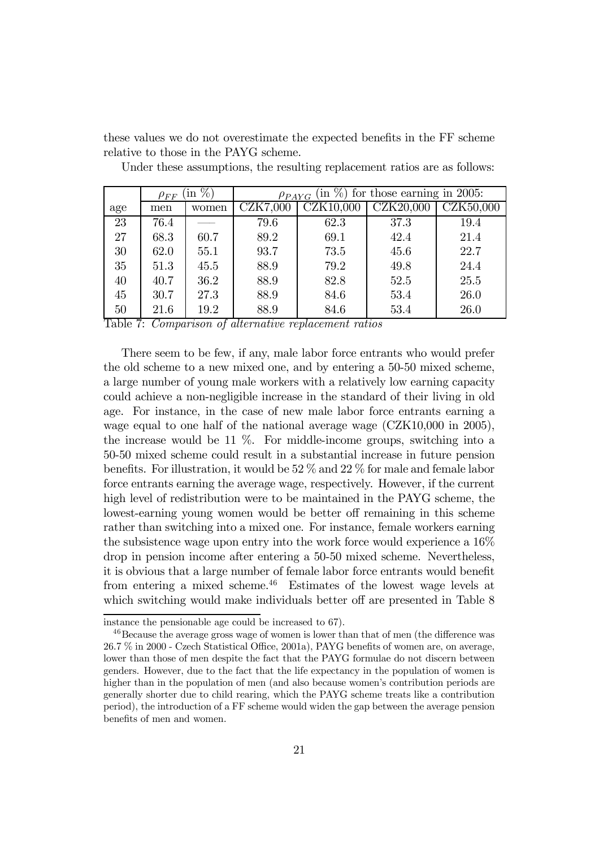these values we do not overestimate the expected benefits in the FF scheme relative to those in the PAYG scheme.

|     | $\sin \%$<br>$\rho_{FF}$ |       | $\left(\text{in } \%\right)$ for those earning in 2005:<br>$\rho_{PAYG}$ |           |           |           |  |  |
|-----|--------------------------|-------|--------------------------------------------------------------------------|-----------|-----------|-----------|--|--|
| age | men                      | women | CZK7,000                                                                 | CZK10,000 | CZK20,000 | CZK50,000 |  |  |
| 23  | 76.4                     |       | 79.6                                                                     | 62.3      | 37.3      | 19.4      |  |  |
| 27  | 68.3                     | 60.7  | 89.2                                                                     | 69.1      | 42.4      | 21.4      |  |  |
| 30  | 62.0                     | 55.1  | 93.7                                                                     | 73.5      | 45.6      | 22.7      |  |  |
| 35  | 51.3                     | 45.5  | 88.9                                                                     | 79.2      | 49.8      | 24.4      |  |  |
| 40  | 40.7                     | 36.2  | 88.9                                                                     | 82.8      | 52.5      | 25.5      |  |  |
| 45  | 30.7                     | 27.3  | 88.9                                                                     | 84.6      | 53.4      | 26.0      |  |  |
| 50  | 21.6                     | 19.2  | 88.9                                                                     | 84.6      | 53.4      | 26.0      |  |  |

Under these assumptions, the resulting replacement ratios are as follows:

Table 7: Comparison of alternative replacement ratios

There seem to be few, if any, male labor force entrants who would prefer the old scheme to a new mixed one, and by entering a 50-50 mixed scheme, a large number of young male workers with a relatively low earning capacity could achieve a non-negligible increase in the standard of their living in old age. For instance, in the case of new male labor force entrants earning a wage equal to one half of the national average wage (CZK10,000 in 2005), the increase would be 11  $\%$ . For middle-income groups, switching into a 50-50 mixed scheme could result in a substantial increase in future pension benefits. For illustration, it would be 52 % and 22 % for male and female labor force entrants earning the average wage, respectively. However, if the current high level of redistribution were to be maintained in the PAYG scheme, the lowest-earning young women would be better off remaining in this scheme rather than switching into a mixed one. For instance, female workers earning the subsistence wage upon entry into the work force would experience a 16% drop in pension income after entering a 50-50 mixed scheme. Nevertheless, it is obvious that a large number of female labor force entrants would benefit from entering a mixed scheme.<sup>46</sup> Estimates of the lowest wage levels at which switching would make individuals better off are presented in Table 8

instance the pensionable age could be increased to 67).

<sup>&</sup>lt;sup>46</sup>Because the average gross wage of women is lower than that of men (the difference was 26.7 % in 2000 - Czech Statistical Office, 2001a), PAYG benefits of women are, on average, lower than those of men despite the fact that the PAYG formulae do not discern between genders. However, due to the fact that the life expectancy in the population of women is higher than in the population of men (and also because women's contribution periods are generally shorter due to child rearing, which the PAYG scheme treats like a contribution period), the introduction of a FF scheme would widen the gap between the average pension benefits of men and women.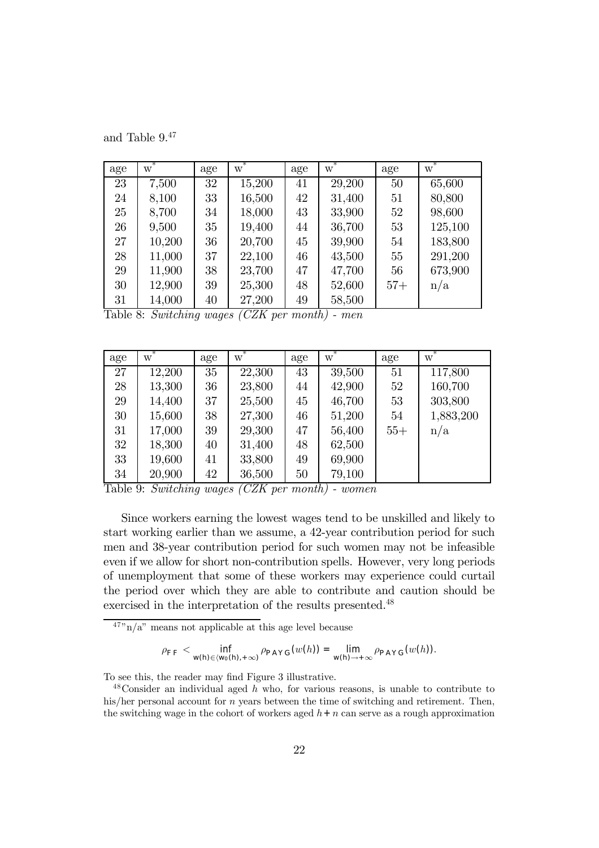and Table 9.47

| age | ∗<br>W | age | ∗<br>W | age | ∗<br>W | age   | ∗<br>W  |
|-----|--------|-----|--------|-----|--------|-------|---------|
| 23  | 7,500  | 32  | 15,200 | 41  | 29,200 | 50    | 65,600  |
| 24  | 8,100  | 33  | 16,500 | 42  | 31,400 | 51    | 80,800  |
| 25  | 8,700  | 34  | 18,000 | 43  | 33,900 | 52    | 98,600  |
| 26  | 9,500  | 35  | 19,400 | 44  | 36,700 | 53    | 125,100 |
| 27  | 10,200 | 36  | 20,700 | 45  | 39,900 | 54    | 183,800 |
| 28  | 11,000 | 37  | 22,100 | 46  | 43,500 | 55    | 291,200 |
| 29  | 11,900 | 38  | 23,700 | 47  | 47,700 | 56    | 673,900 |
| 30  | 12,900 | 39  | 25,300 | 48  | 52,600 | $57+$ | n/a     |
| 31  | 14,000 | 40  | 27,200 | 49  | 58,500 |       |         |

Table 8: Switching wages (CZK per month) - men

| age | ∗<br>W | age | ∗<br>W | age | $\overline{w}^*$ | age   | W         |
|-----|--------|-----|--------|-----|------------------|-------|-----------|
| 27  | 12,200 | 35  | 22,300 | 43  | 39,500           | 51    | 117,800   |
| 28  | 13,300 | 36  | 23,800 | 44  | 42,900           | 52    | 160,700   |
| 29  | 14,400 | 37  | 25,500 | 45  | 46,700           | 53    | 303,800   |
| 30  | 15,600 | 38  | 27,300 | 46  | 51,200           | 54    | 1,883,200 |
| 31  | 17,000 | 39  | 29,300 | 47  | 56,400           | $55+$ | n/a       |
| 32  | 18,300 | 40  | 31,400 | 48  | 62,500           |       |           |
| 33  | 19,600 | 41  | 33,800 | 49  | 69,900           |       |           |
| 34  | 20,900 | 42  | 36,500 | 50  | 79,100           |       |           |

Table 9: Switching wages (CZK per month) - women

Since workers earning the lowest wages tend to be unskilled and likely to start working earlier than we assume, a 42-year contribution period for such men and 38-year contribution period for such women may not be infeasible even if we allow for short non-contribution spells. However, very long periods of unemployment that some of these workers may experience could curtail the period over which they are able to contribute and caution should be exercised in the interpretation of the results presented.48

 $\frac{47}{\text{m}}$  a" means not applicable at this age level because

$$
\rho_{\mathsf{FF}} < \inf_{\mathsf{w}(\mathsf{h}) \in \langle \mathsf{w}_{0}(\mathsf{h}), +\infty \rangle} \rho_{\mathsf{PAY}\mathsf{G}}(w(h)) = \lim_{\mathsf{w}(\mathsf{h}) \to +\infty} \rho_{\mathsf{PAY}\mathsf{G}}(w(h)).
$$

To see this, the reader may find Figure 3 illustrative.

Consider an individual aged h who, for various reasons, is unable to contribute to his/her personal account for *n* years between the time of switching and retirement. Then, the switching wage in the cohort of workers aged  $h + n$  can serve as a rough approximation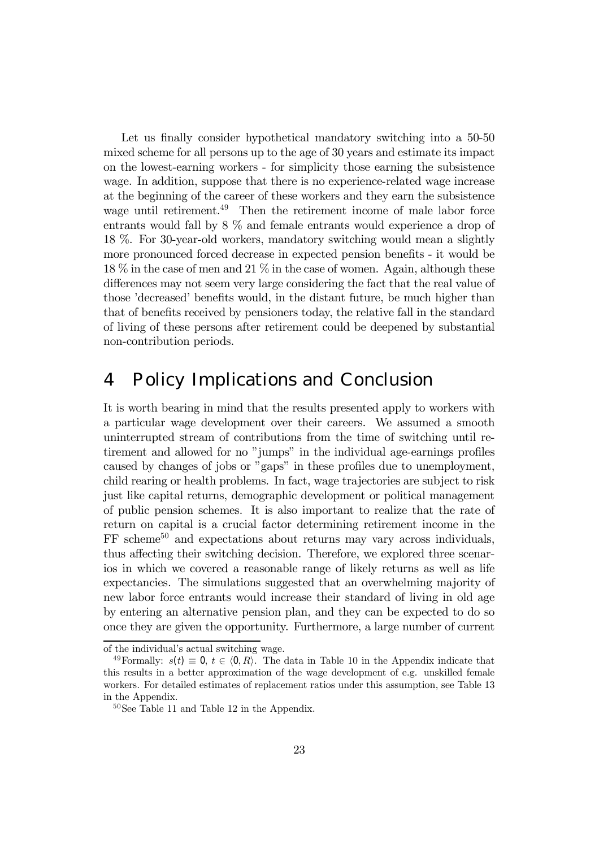Let us finally consider hypothetical mandatory switching into a 50-50 mixed scheme for all persons up to the age of 30 years and estimate its impact on the lowest-earning workers - for simplicity those earning the subsistence wage. In addition, suppose that there is no experience-related wage increase at the beginning of the career of these workers and they earn the subsistence wage until retirement.<sup>49</sup> Then the retirement income of male labor force entrants would fall by 8 % and female entrants would experience a drop of 18 %. For 30-year-old workers, mandatory switching would mean a slightly more pronounced forced decrease in expected pension benefits - it would be 18 % in the case of men and 21 % in the case of women. Again, although these differences may not seem very large considering the fact that the real value of those 'decreased' benefits would, in the distant future, be much higher than that of benefits received by pensioners today, the relative fall in the standard of living of these persons after retirement could be deepened by substantial non-contribution periods.

## 4 Policy Implications and Conclusion

It is worth bearing in mind that the results presented apply to workers with a particular wage development over their careers. We assumed a smooth uninterrupted stream of contributions from the time of switching until retirement and allowed for no "jumps" in the individual age-earnings profiles caused by changes of jobs or "gaps" in these profiles due to unemployment, child rearing or health problems. In fact, wage trajectories are subject to risk just like capital returns, demographic development or political management of public pension schemes. It is also important to realize that the rate of return on capital is a crucial factor determining retirement income in the  $FF$  scheme<sup>50</sup> and expectations about returns may vary across individuals, thus affecting their switching decision. Therefore, we explored three scenarios in which we covered a reasonable range of likely returns as well as life expectancies. The simulations suggested that an overwhelming majority of new labor force entrants would increase their standard of living in old age by entering an alternative pension plan, and they can be expected to do so once they are given the opportunity. Furthermore, a large number of current

of the individual's actual switching wage.

<sup>&</sup>lt;sup>49</sup>Formally:  $s(t) \equiv 0, t \in (0, R)$ . The data in Table 10 in the Appendix indicate that this results in a better approximation of the wage development of e.g. unskilled female workers. For detailed estimates of replacement ratios under this assumption, see Table 13 in the Appendix.

 $50$ See Table 11 and Table 12 in the Appendix.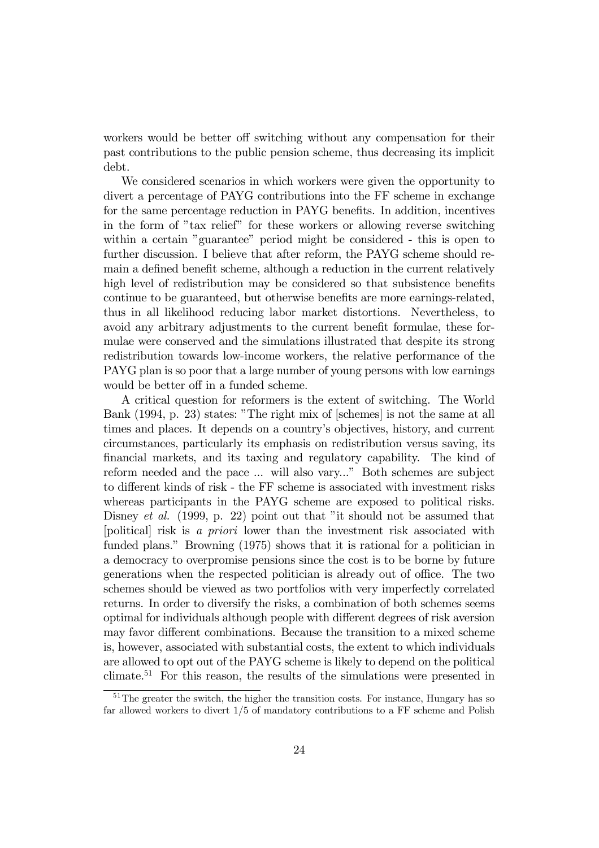workers would be better off switching without any compensation for their past contributions to the public pension scheme, thus decreasing its implicit debt.

We considered scenarios in which workers were given the opportunity to divert a percentage of PAYG contributions into the FF scheme in exchange for the same percentage reduction in PAYG benefits. In addition, incentives in the form of "tax relief" for these workers or allowing reverse switching within a certain "guarantee" period might be considered - this is open to further discussion. I believe that after reform, the PAYG scheme should remain a defined benefit scheme, although a reduction in the current relatively high level of redistribution may be considered so that subsistence benefits continue to be guaranteed, but otherwise benefits are more earnings-related, thus in all likelihood reducing labor market distortions. Nevertheless, to avoid any arbitrary adjustments to the current benefit formulae, these formulae were conserved and the simulations illustrated that despite its strong redistribution towards low-income workers, the relative performance of the PAYG plan is so poor that a large number of young persons with low earnings would be better off in a funded scheme.

A critical question for reformers is the extent of switching. The World Bank (1994, p. 23) states: "The right mix of [schemes] is not the same at all times and places. It depends on a countryís objectives, history, and current circumstances, particularly its emphasis on redistribution versus saving, its financial markets, and its taxing and regulatory capability. The kind of reform needed and the pace ... will also vary..." Both schemes are subject to different kinds of risk - the FF scheme is associated with investment risks whereas participants in the PAYG scheme are exposed to political risks. Disney *et al.* (1999, p. 22) point out that "it should not be assumed that [political] risk is a priori lower than the investment risk associated with funded plans." Browning (1975) shows that it is rational for a politician in a democracy to overpromise pensions since the cost is to be borne by future generations when the respected politician is already out of office. The two schemes should be viewed as two portfolios with very imperfectly correlated returns. In order to diversify the risks, a combination of both schemes seems optimal for individuals although people with different degrees of risk aversion may favor different combinations. Because the transition to a mixed scheme is, however, associated with substantial costs, the extent to which individuals are allowed to opt out of the PAYG scheme is likely to depend on the political climate.<sup>51</sup> For this reason, the results of the simulations were presented in

<sup>&</sup>lt;sup>51</sup>The greater the switch, the higher the transition costs. For instance, Hungary has so far allowed workers to divert 1/5 of mandatory contributions to a FF scheme and Polish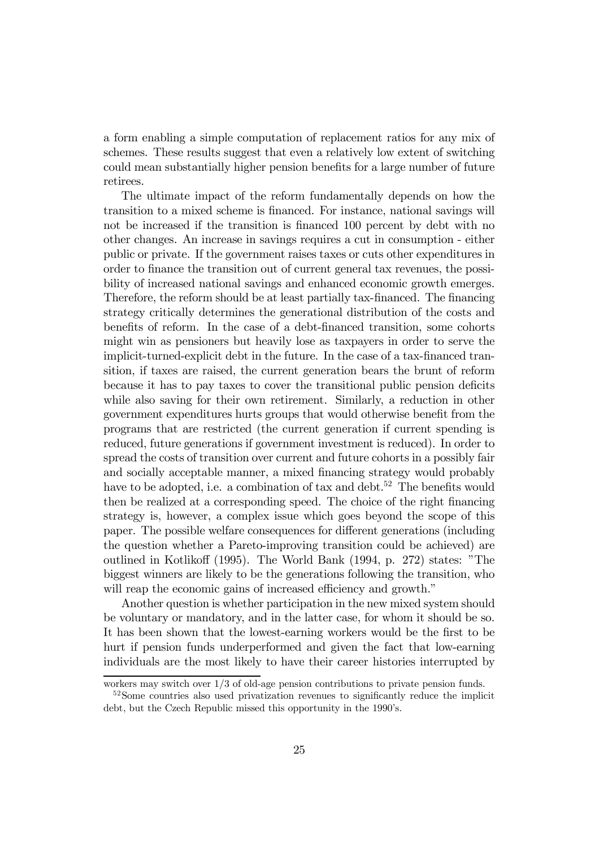a form enabling a simple computation of replacement ratios for any mix of schemes. These results suggest that even a relatively low extent of switching could mean substantially higher pension benefits for a large number of future retirees.

The ultimate impact of the reform fundamentally depends on how the transition to a mixed scheme is financed. For instance, national savings will not be increased if the transition is financed 100 percent by debt with no other changes. An increase in savings requires a cut in consumption - either public or private. If the government raises taxes or cuts other expenditures in order to finance the transition out of current general tax revenues, the possibility of increased national savings and enhanced economic growth emerges. Therefore, the reform should be at least partially tax-financed. The financing strategy critically determines the generational distribution of the costs and benefits of reform. In the case of a debt-financed transition, some cohorts might win as pensioners but heavily lose as taxpayers in order to serve the implicit-turned-explicit debt in the future. In the case of a tax-financed transition, if taxes are raised, the current generation bears the brunt of reform because it has to pay taxes to cover the transitional public pension deficits while also saving for their own retirement. Similarly, a reduction in other government expenditures hurts groups that would otherwise benefit from the programs that are restricted (the current generation if current spending is reduced, future generations if government investment is reduced). In order to spread the costs of transition over current and future cohorts in a possibly fair and socially acceptable manner, a mixed financing strategy would probably have to be adopted, i.e. a combination of tax and debt.<sup>52</sup> The benefits would then be realized at a corresponding speed. The choice of the right financing strategy is, however, a complex issue which goes beyond the scope of this paper. The possible welfare consequences for different generations (including the question whether a Pareto-improving transition could be achieved) are outlined in Kotlikoff (1995). The World Bank (1994, p. 272) states: "The biggest winners are likely to be the generations following the transition, who will reap the economic gains of increased efficiency and growth.<sup>"</sup>

Another question is whether participation in the new mixed system should be voluntary or mandatory, and in the latter case, for whom it should be so. It has been shown that the lowest-earning workers would be the first to be hurt if pension funds underperformed and given the fact that low-earning individuals are the most likely to have their career histories interrupted by

workers may switch over 1/3 of old-age pension contributions to private pension funds.

 $52$ Some countries also used privatization revenues to significantly reduce the implicit debt, but the Czech Republic missed this opportunity in the 1990's.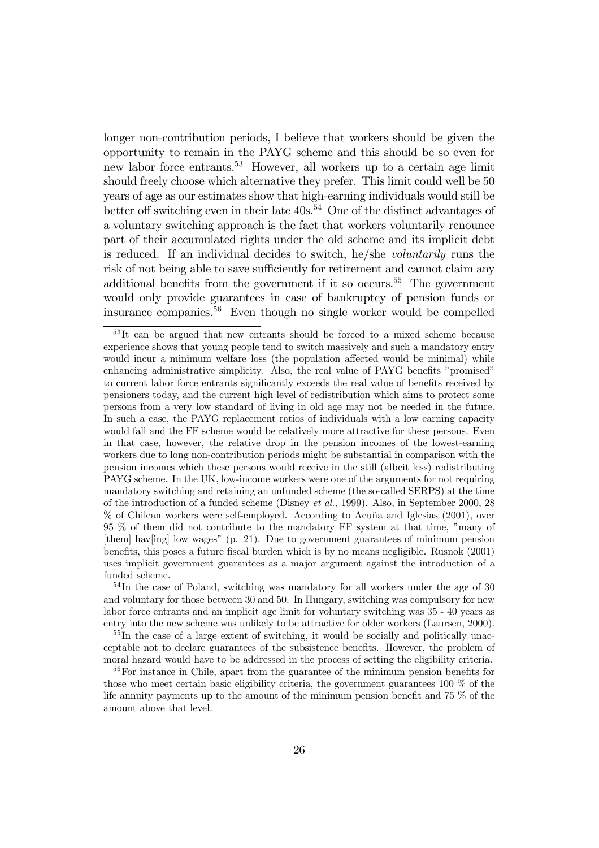longer non-contribution periods, I believe that workers should be given the opportunity to remain in the PAYG scheme and this should be so even for new labor force entrants.<sup>53</sup> However, all workers up to a certain age limit should freely choose which alternative they prefer. This limit could well be 50 years of age as our estimates show that high-earning individuals would still be better off switching even in their late  $40s^{54}$  One of the distinct advantages of a voluntary switching approach is the fact that workers voluntarily renounce part of their accumulated rights under the old scheme and its implicit debt is reduced. If an individual decides to switch, he/she voluntarily runs the risk of not being able to save sufficiently for retirement and cannot claim any additional benefits from the government if it so occurs.<sup>55</sup> The government would only provide guarantees in case of bankruptcy of pension funds or insurance companies.56 Even though no single worker would be compelled

<sup>&</sup>lt;sup>53</sup>It can be argued that new entrants should be forced to a mixed scheme because experience shows that young people tend to switch massively and such a mandatory entry would incur a minimum welfare loss (the population affected would be minimal) while enhancing administrative simplicity. Also, the real value of PAYG benefits "promised" to current labor force entrants significantly exceeds the real value of benefits received by pensioners today, and the current high level of redistribution which aims to protect some persons from a very low standard of living in old age may not be needed in the future. In such a case, the PAYG replacement ratios of individuals with a low earning capacity would fall and the FF scheme would be relatively more attractive for these persons. Even in that case, however, the relative drop in the pension incomes of the lowest-earning workers due to long non-contribution periods might be substantial in comparison with the pension incomes which these persons would receive in the still (albeit less) redistributing PAYG scheme. In the UK, low-income workers were one of the arguments for not requiring mandatory switching and retaining an unfunded scheme (the so-called SERPS) at the time of the introduction of a funded scheme (Disney et al., 1999). Also, in September 2000, 28  $%$  of Chilean workers were self-employed. According to Acuña and Iglesias (2001), over  $95\%$  of them did not contribute to the mandatory FF system at that time, "many of [them] hav[ing] low wagesî (p. 21). Due to government guarantees of minimum pension benefits, this poses a future fiscal burden which is by no means negligible. Rusnok (2001) uses implicit government guarantees as a major argument against the introduction of a funded scheme.

<sup>&</sup>lt;sup>54</sup>In the case of Poland, switching was mandatory for all workers under the age of 30 and voluntary for those between 30 and 50. In Hungary, switching was compulsory for new labor force entrants and an implicit age limit for voluntary switching was 35 - 40 years as entry into the new scheme was unlikely to be attractive for older workers (Laursen, 2000).

<sup>&</sup>lt;sup>55</sup>In the case of a large extent of switching, it would be socially and politically unacceptable not to declare guarantees of the subsistence benefits. However, the problem of moral hazard would have to be addressed in the process of setting the eligibility criteria.

<sup>&</sup>lt;sup>56</sup>For instance in Chile, apart from the guarantee of the minimum pension benefits for those who meet certain basic eligibility criteria, the government guarantees 100 % of the life annuity payments up to the amount of the minimum pension benefit and 75 % of the amount above that level.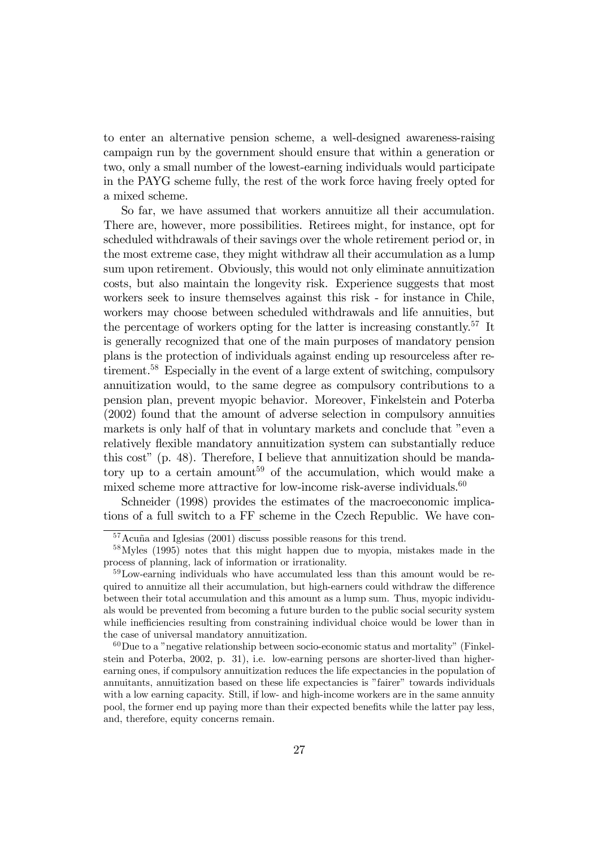to enter an alternative pension scheme, a well-designed awareness-raising campaign run by the government should ensure that within a generation or two, only a small number of the lowest-earning individuals would participate in the PAYG scheme fully, the rest of the work force having freely opted for a mixed scheme.

So far, we have assumed that workers annuitize all their accumulation. There are, however, more possibilities. Retirees might, for instance, opt for scheduled withdrawals of their savings over the whole retirement period or, in the most extreme case, they might withdraw all their accumulation as a lump sum upon retirement. Obviously, this would not only eliminate annuitization costs, but also maintain the longevity risk. Experience suggests that most workers seek to insure themselves against this risk - for instance in Chile, workers may choose between scheduled withdrawals and life annuities, but the percentage of workers opting for the latter is increasing constantly.<sup>57</sup> It is generally recognized that one of the main purposes of mandatory pension plans is the protection of individuals against ending up resourceless after retirement.58 Especially in the event of a large extent of switching, compulsory annuitization would, to the same degree as compulsory contributions to a pension plan, prevent myopic behavior. Moreover, Finkelstein and Poterba (2002) found that the amount of adverse selection in compulsory annuities markets is only half of that in voluntary markets and conclude that "even a relatively flexible mandatory annuitization system can substantially reduce this cost" (p. 48). Therefore, I believe that annuitization should be mandatory up to a certain amount<sup>59</sup> of the accumulation, which would make a mixed scheme more attractive for low-income risk-averse individuals.<sup>60</sup>

Schneider (1998) provides the estimates of the macroeconomic implications of a full switch to a FF scheme in the Czech Republic. We have con-

 $\frac{57}{2}$ cuña and Iglesias (2001) discuss possible reasons for this trend.

<sup>58</sup>Myles (1995) notes that this might happen due to myopia, mistakes made in the process of planning, lack of information or irrationality.

 $59$ Low-earning individuals who have accumulated less than this amount would be required to annuitize all their accumulation, but high-earners could withdraw the difference between their total accumulation and this amount as a lump sum. Thus, myopic individuals would be prevented from becoming a future burden to the public social security system while inefficiencies resulting from constraining individual choice would be lower than in the case of universal mandatory annuitization.

 $60$ Due to a "negative relationship between socio-economic status and mortality" (Finkelstein and Poterba, 2002, p. 31), i.e. low-earning persons are shorter-lived than higherearning ones, if compulsory annuitization reduces the life expectancies in the population of annuitants, annuitization based on these life expectancies is "fairer" towards individuals with a low earning capacity. Still, if low- and high-income workers are in the same annuity pool, the former end up paying more than their expected benefits while the latter pay less, and, therefore, equity concerns remain.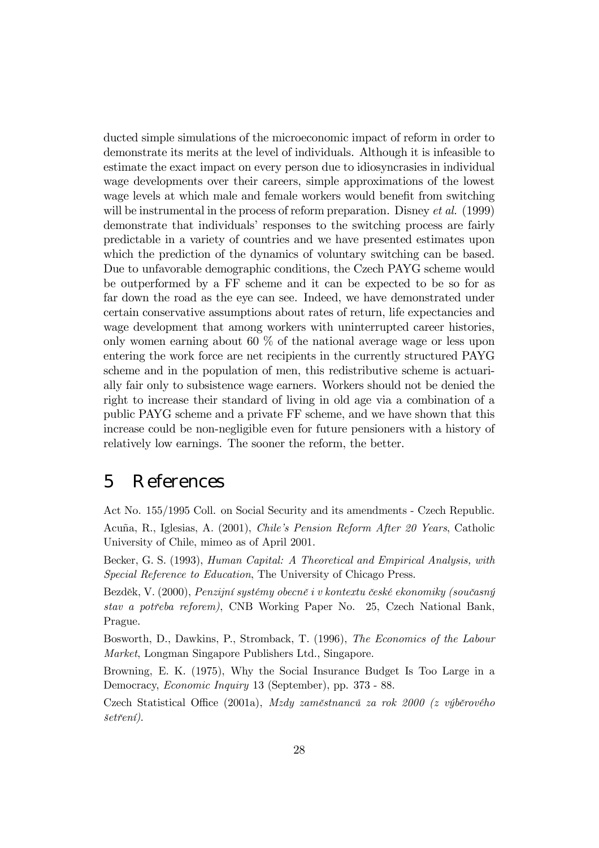ducted simple simulations of the microeconomic impact of reform in order to demonstrate its merits at the level of individuals. Although it is infeasible to estimate the exact impact on every person due to idiosyncrasies in individual wage developments over their careers, simple approximations of the lowest wage levels at which male and female workers would benefit from switching will be instrumental in the process of reform preparation. Disney *et al.* (1999) demonstrate that individuals' responses to the switching process are fairly predictable in a variety of countries and we have presented estimates upon which the prediction of the dynamics of voluntary switching can be based. Due to unfavorable demographic conditions, the Czech PAYG scheme would be outperformed by a FF scheme and it can be expected to be so for as far down the road as the eye can see. Indeed, we have demonstrated under certain conservative assumptions about rates of return, life expectancies and wage development that among workers with uninterrupted career histories, only women earning about 60 % of the national average wage or less upon entering the work force are net recipients in the currently structured PAYG scheme and in the population of men, this redistributive scheme is actuarially fair only to subsistence wage earners. Workers should not be denied the right to increase their standard of living in old age via a combination of a public PAYG scheme and a private FF scheme, and we have shown that this increase could be non-negligible even for future pensioners with a history of relatively low earnings. The sooner the reform, the better.

## 5 References

Act No. 155/1995 Coll. on Social Security and its amendments - Czech Republic. Acuña, R., Iglesias, A. (2001), Chile's Pension Reform After 20 Years, Catholic University of Chile, mimeo as of April 2001.

Becker, G. S. (1993), Human Capital: A Theoretical and Empirical Analysis, with Special Reference to Education, The University of Chicago Press.

Bezděk, V. (2000), Penzijní systémy obecně i v kontextu české ekonomiky (současný stav a potřeba reforem), CNB Working Paper No. 25, Czech National Bank, Prague.

Bosworth, D., Dawkins, P., Stromback, T. (1996), The Economics of the Labour Market, Longman Singapore Publishers Ltd., Singapore.

Browning, E. K. (1975), Why the Social Insurance Budget Is Too Large in a Democracy, Economic Inquiry 13 (September), pp. 373 - 88.

Czech Statistical Office (2001a), Mzdy zaměstnanců za rok 2000 (z výběrového  $\check{set}$ rení).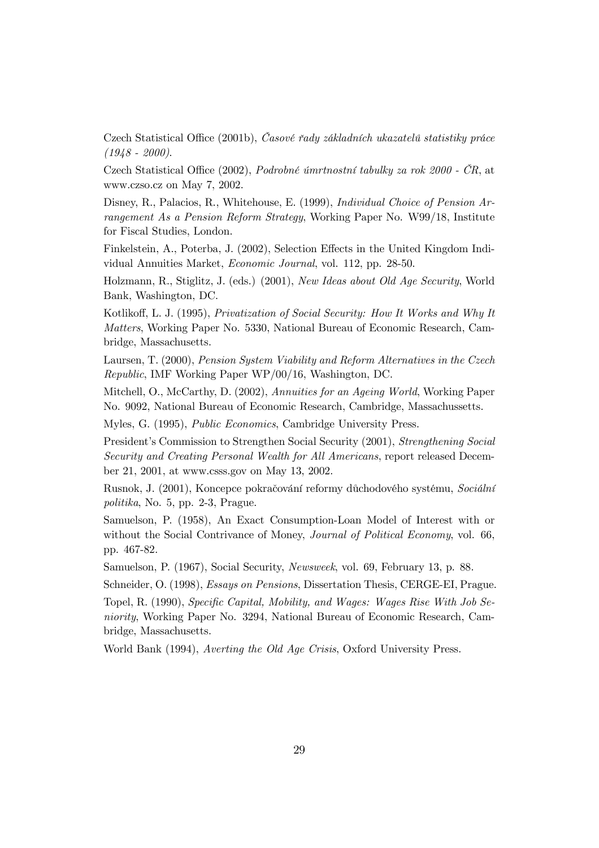Czech Statistical Office (2001b), Casové řady základních ukazatelů statistiky práce  $(1948 - 2000).$ 

Czech Statistical Office (2002), Podrobné úmrtnostní tabulky za rok 2000 - ČR, at www.czso.cz on May 7, 2002.

Disney, R., Palacios, R., Whitehouse, E. (1999), *Individual Choice of Pension Ar*rangement As a Pension Reform Strategy, Working Paper No. W99/18, Institute for Fiscal Studies, London.

Finkelstein, A., Poterba, J. (2002), Selection Effects in the United Kingdom Individual Annuities Market, Economic Journal, vol. 112, pp. 28-50.

Holzmann, R., Stiglitz, J. (eds.) (2001), New Ideas about Old Age Security, World Bank, Washington, DC.

Kotlikoff, L. J. (1995), Privatization of Social Security: How It Works and Why It Matters, Working Paper No. 5330, National Bureau of Economic Research, Cambridge, Massachusetts.

Laursen, T. (2000), Pension System Viability and Reform Alternatives in the Czech Republic, IMF Working Paper WP/00/16, Washington, DC.

Mitchell, O., McCarthy, D. (2002), Annuities for an Ageing World, Working Paper No. 9092, National Bureau of Economic Research, Cambridge, Massachussetts.

Myles, G. (1995), Public Economics, Cambridge University Press.

President's Commission to Strengthen Social Security (2001), Strengthening Social Security and Creating Personal Wealth for All Americans, report released December 21, 2001, at www.csss.gov on May 13, 2002.

Rusnok, J. (2001), Koncepce pokračování reformy důchodového systému, Sociální politika, No. 5, pp. 2-3, Prague.

Samuelson, P. (1958), An Exact Consumption-Loan Model of Interest with or without the Social Contrivance of Money, *Journal of Political Economy*, vol. 66, pp. 467-82.

Samuelson, P. (1967), Social Security, Newsweek, vol. 69, February 13, p. 88.

Schneider, O. (1998), Essays on Pensions, Dissertation Thesis, CERGE-EI, Prague.

Topel, R. (1990), Specific Capital, Mobility, and Wages: Wages Rise With Job Seniority, Working Paper No. 3294, National Bureau of Economic Research, Cambridge, Massachusetts.

World Bank (1994), Averting the Old Age Crisis, Oxford University Press.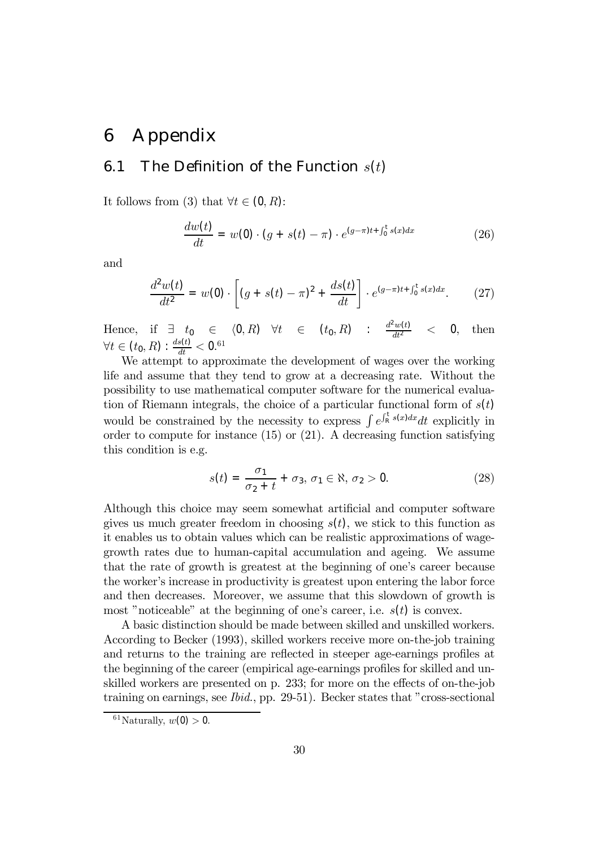## 6 Appendix

### 6.1 The Definition of the Function  $s(t)$

It follows from (3) that  $\forall t \in (0, R)$ :

$$
\frac{dw(t)}{dt} = w(0) \cdot (g + s(t) - \pi) \cdot e^{(g-\pi)t + \int_0^t s(x)dx} \tag{26}
$$

and

$$
\frac{d^2w(t)}{dt^2} = w(0) \cdot \left[ (g + s(t) - \pi)^2 + \frac{ds(t)}{dt} \right] \cdot e^{(g-\pi)t + \int_0^t s(x)dx}.\tag{27}
$$

Hence, if  $\exists t_0 \in (0, R) \forall t \in (t_0, R) : \frac{d^2w(t)}{dt^2}$  $<$  0, then  $\forall t \in (t_0, R): \frac{ds(t)}{dt} < 0.61$ 

We attempt to approximate the development of wages over the working life and assume that they tend to grow at a decreasing rate. Without the possibility to use mathematical computer software for the numerical evaluation of Riemann integrals, the choice of a particular functional form of  $s(t)$ would be constrained by the necessity to express  $\int e^{\int_{R}^{t} s(x)dx} dt$  explicitly in order to compute for instance (15) or (21). A decreasing function satisfying this condition is e.g.

$$
s(t) = \frac{\sigma_1}{\sigma_2 + t} + \sigma_3, \sigma_1 \in \aleph, \sigma_2 > 0.
$$
 (28)

Although this choice may seem somewhat artificial and computer software gives us much greater freedom in choosing  $s(t)$ , we stick to this function as it enables us to obtain values which can be realistic approximations of wagegrowth rates due to human-capital accumulation and ageing. We assume that the rate of growth is greatest at the beginning of one's career because the workerís increase in productivity is greatest upon entering the labor force and then decreases. Moreover, we assume that this slowdown of growth is most "noticeable" at the beginning of one's career, i.e.  $s(t)$  is convex.

A basic distinction should be made between skilled and unskilled workers. According to Becker (1993), skilled workers receive more on-the-job training and returns to the training are reflected in steeper age-earnings profiles at the beginning of the career (empirical age-earnings profiles for skilled and unskilled workers are presented on p. 233; for more on the effects of on-the-job training on earnings, see  $Ibid., pp. 29-51$ . Becker states that "cross-sectional

 $61$ Naturally,  $w(0) > 0$ .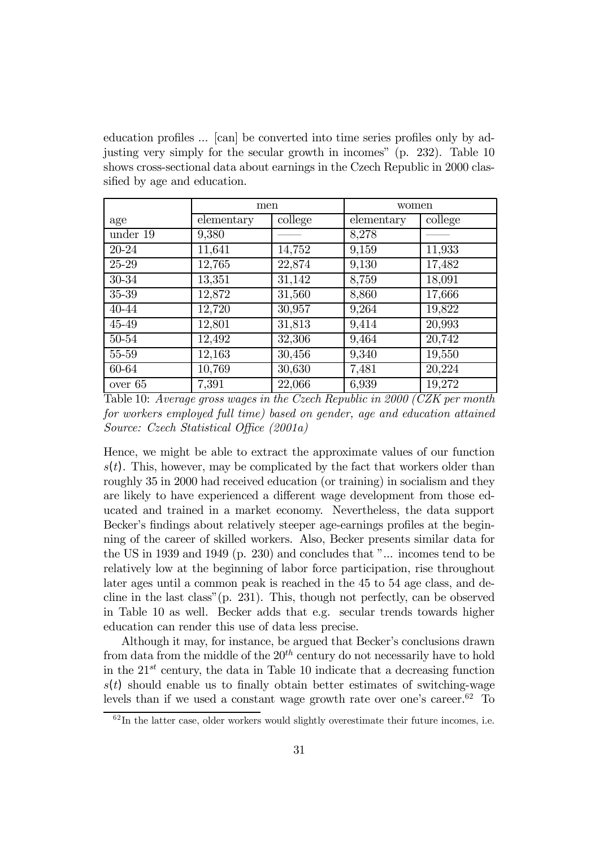education profiles ... [can] be converted into time series profiles only by adjusting very simply for the secular growth in incomes"  $(p. 232)$ . Table 10 shows cross-sectional data about earnings in the Czech Republic in 2000 classified by age and education.

|           | men        |         | women      |         |  |
|-----------|------------|---------|------------|---------|--|
| age       | elementary | college | elementary | college |  |
| under 19  | 9,380      |         | 8,278      |         |  |
| 20-24     | 11,641     | 14,752  | 9,159      | 11,933  |  |
| 25-29     | 12,765     | 22,874  | 9,130      | 17,482  |  |
| 30-34     | 13,351     | 31,142  | 8,759      | 18,091  |  |
| 35-39     | 12,872     | 31,560  | 8,860      | 17,666  |  |
| 40-44     | 12,720     | 30,957  | 9,264      | 19,822  |  |
| 45-49     | 12,801     | 31,813  | 9,414      | 20,993  |  |
| 50-54     | 12,492     | 32,306  | 9,464      | 20,742  |  |
| 55-59     | 12,163     | 30,456  | 9,340      | 19,550  |  |
| 60-64     | 10,769     | 30,630  | 7,481      | 20,224  |  |
| over $65$ | 7,391      | 22,066  | 6,939      | 19,272  |  |

Table 10: Average gross wages in the Czech Republic in 2000 (CZK per month for workers employed full time) based on gender, age and education attained Source: Czech Statistical Office (2001a)

Hence, we might be able to extract the approximate values of our function  $s(t)$ . This, however, may be complicated by the fact that workers older than roughly 35 in 2000 had received education (or training) in socialism and they are likely to have experienced a different wage development from those educated and trained in a market economy. Nevertheless, the data support Becker's findings about relatively steeper age-earnings profiles at the beginning of the career of skilled workers. Also, Becker presents similar data for the US in 1939 and 1949 (p. 230) and concludes that  $"...$  incomes tend to be relatively low at the beginning of labor force participation, rise throughout later ages until a common peak is reached in the 45 to 54 age class, and decline in the last class"  $(p. 231)$ . This, though not perfectly, can be observed in Table 10 as well. Becker adds that e.g. secular trends towards higher education can render this use of data less precise.

Although it may, for instance, be argued that Becker's conclusions drawn from data from the middle of the  $20<sup>th</sup>$  century do not necessarily have to hold in the  $21^{st}$  century, the data in Table 10 indicate that a decreasing function  $s(t)$  should enable us to finally obtain better estimates of switching-wage levels than if we used a constant wage growth rate over one's career.<sup>62</sup> To

 $\frac{62 \text{In the latter case, older workers would slightly overestimate their future incomes, i.e.}$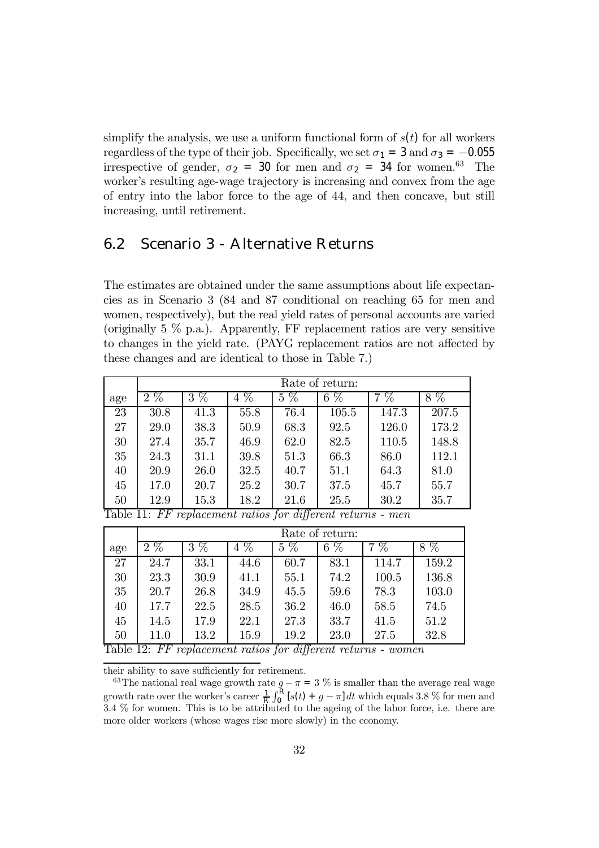simplify the analysis, we use a uniform functional form of  $s(t)$  for all workers regardless of the type of their job. Specifically, we set  $\sigma_1 = 3$  and  $\sigma_3 = -0.055$ irrespective of gender,  $\sigma_2 = 30$  for men and  $\sigma_2 = 34$  for women.<sup>63</sup> The worker's resulting age-wage trajectory is increasing and convex from the age of entry into the labor force to the age of 44, and then concave, but still increasing, until retirement.

### 6.2 Scenario 3 - Alternative Returns

The estimates are obtained under the same assumptions about life expectancies as in Scenario 3 (84 and 87 conditional on reaching 65 for men and women, respectively), but the real yield rates of personal accounts are varied (originally  $5\%$  p.a.). Apparently, FF replacement ratios are very sensitive to changes in the yield rate. (PAYG replacement ratios are not affected by these changes and are identical to those in Table 7.)

|           | Rate of return:                |                      |                         |                                                  |                    |                        |           |  |  |  |
|-----------|--------------------------------|----------------------|-------------------------|--------------------------------------------------|--------------------|------------------------|-----------|--|--|--|
| age       | $\overline{\%}$<br>$2^{\circ}$ | $\overline{\%}$<br>3 | $\%$<br>4               | $\%$<br>5                                        | $\%$<br>6          | $\%$<br>$\overline{7}$ | $\%$<br>8 |  |  |  |
| 23        | 30.8                           | 41.3                 | 55.8                    | 76.4                                             | 105.5              | 147.3                  | 207.5     |  |  |  |
| 27        | 29.0                           | 38.3                 | 50.9                    | 68.3                                             | 92.5               | 126.0                  | 173.2     |  |  |  |
| 30        | 27.4                           | 35.7                 | 46.9                    | 62.0                                             | 82.5               | 110.5                  | 148.8     |  |  |  |
| 35        | 24.3                           | 31.1                 | 39.8                    | 51.3                                             | 66.3               | 86.0                   | 112.1     |  |  |  |
| 40        | 20.9                           | 26.0                 | 32.5                    | 40.7                                             | 51.1               | 64.3                   | 81.0      |  |  |  |
| 45        | 17.0                           | 20.7                 | 25.2                    | 30.7                                             | 37.5               | 45.7                   | 55.7      |  |  |  |
| 50<br>T11 | 12.9<br>$\Gamma$<br>11         | 15.3                 | 18.2<br>$\cdot$ $\cdot$ | 21.6<br>$\overline{\mathbf{r} \cdot \mathbf{r}}$ | 25.5<br>$\sqrt{ }$ | 30.2                   | 35.7      |  |  |  |

Table 11: FF replacement ratios for different returns - men

|                                 | Rate of return:                   |        |           |              |                      |                 |                      |  |  |
|---------------------------------|-----------------------------------|--------|-----------|--------------|----------------------|-----------------|----------------------|--|--|
| age                             | $\overline{\%}$<br>$\overline{2}$ | %<br>3 | $\%$<br>4 | %<br>5       | $\overline{\%}$<br>6 | $\overline{\%}$ | $\overline{\%}$<br>8 |  |  |
| 27                              | 24.7                              | 33.1   | 44.6      | 60.7         | 83.1                 | 114.7           | 159.2                |  |  |
| 30                              | 23.3                              | 30.9   | 41.1      | 55.1         | 74.2                 | 100.5           | 136.8                |  |  |
| 35                              | 20.7                              | 26.8   | 34.9      | 45.5         | 59.6                 | 78.3            | 103.0                |  |  |
| 40                              | 17.7                              | 22.5   | 28.5      | 36.2         | 46.0                 | 58.5            | 74.5                 |  |  |
| 45                              | 14.5                              | 17.9   | 22.1      | 27.3         | 33.7                 | 41.5            | 51.2                 |  |  |
| 50<br>$\mathbf{r}$ $\mathbf{r}$ | 11.0<br>$\overline{r}$            | 13.2   | 15.9      | 19.2<br>7.00 | 23.0                 | 27.5            | 32.8                 |  |  |

Table 12: FF replacement ratios for different returns - women

their ability to save sufficiently for retirement.

<sup>63</sup>The national real wage growth rate  $g - \pi = 3\%$  is smaller than the average real wage growth rate over the worker's career  $\frac{1}{R} \int_0^R [s(t) + g - \pi] dt$  which equals 3.8 % for men and 3.4 % for women. This is to be attributed to the ageing of the labor force, i.e. there are more older workers (whose wages rise more slowly) in the economy.